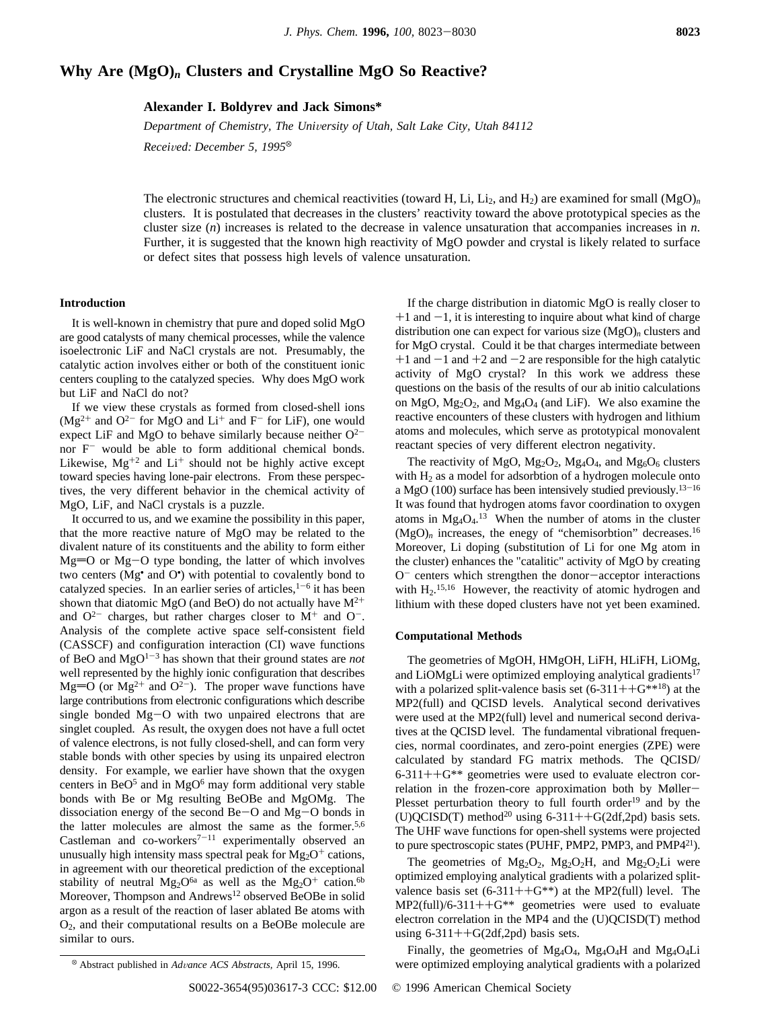# **Why Are (MgO)***<sup>n</sup>* **Clusters and Crystalline MgO So Reactive?**

**Alexander I. Boldyrev and Jack Simons\***

*Department of Chemistry, The University of Utah, Salt Lake City, Utah 84112 Received: December 5, 1995*<sup> $\otimes$ </sup>

The electronic structures and chemical reactivities (toward H, Li, Li<sub>2</sub>, and H<sub>2</sub>) are examined for small  $(MgO)<sub>n</sub>$ <sup>n</sup> clusters. It is postulated that decreases in the clusters' reactivity toward the above prototypical species as the cluster size (*n*) increases is related to the decrease in valence unsaturation that accompanies increases in *n*. Further, it is suggested that the known high reactivity of MgO powder and crystal is likely related to surface or defect sites that possess high levels of valence unsaturation.

# **Introduction**

It is well-known in chemistry that pure and doped solid MgO are good catalysts of many chemical processes, while the valence isoelectronic LiF and NaCl crystals are not. Presumably, the catalytic action involves either or both of the constituent ionic centers coupling to the catalyzed species. Why does MgO work but LiF and NaCl do not?

If we view these crystals as formed from closed-shell ions  $(Mg^{2+}$  and  $O^{2-}$  for MgO and  $Li^+$  and  $F^-$  for LiF), one would expect LiF and MgO to behave similarly because neither  $O^{2-}$ nor F- would be able to form additional chemical bonds. Likewise,  $Mg^{+2}$  and  $Li^{+}$  should not be highly active except toward species having lone-pair electrons. From these perspectives, the very different behavior in the chemical activity of MgO, LiF, and NaCl crystals is a puzzle.

It occurred to us, and we examine the possibility in this paper, that the more reactive nature of MgO may be related to the divalent nature of its constituents and the ability to form either  $Mg=O$  or  $Mg-O$  type bonding, the latter of which involves two centers (Mg• and O• ) with potential to covalently bond to catalyzed species. In an earlier series of articles,  $1-6$  it has been shown that diatomic MgO (and BeO) do not actually have  $M^{2+}$ and  $O^{2-}$  charges, but rather charges closer to  $M^{+}$  and  $O^{-}$ . Analysis of the complete active space self-consistent field (CASSCF) and configuration interaction (CI) wave functions of BeO and  $MgO^{1-3}$  has shown that their ground states are *not* well represented by the highly ionic configuration that describes Mg= $\overline{O}$  (or Mg<sup>2+</sup> and  $O^{2-}$ ). The proper wave functions have large contributions from electronic configurations which describe single bonded Mg-O with two unpaired electrons that are singlet coupled. As result, the oxygen does not have a full octet of valence electrons, is not fully closed-shell, and can form very stable bonds with other species by using its unpaired electron density. For example, we earlier have shown that the oxygen centers in BeO<sup>5</sup> and in MgO<sup>6</sup> may form additional very stable bonds with Be or Mg resulting BeOBe and MgOMg. The dissociation energy of the second Be-O and Mg-O bonds in the latter molecules are almost the same as the former.5,6 Castleman and  $co$ -workers<sup>7-11</sup> experimentally observed an unusually high intensity mass spectral peak for  $Mg_2O^+$  cations, in agreement with our theoretical prediction of the exceptional stability of neutral Mg<sub>2</sub>O<sup>6a</sup> as well as the Mg<sub>2</sub>O<sup>+</sup> cation.<sup>6b</sup> Moreover, Thompson and Andrews<sup>12</sup> observed BeOBe in solid argon as a result of the reaction of laser ablated Be atoms with O2, and their computational results on a BeOBe molecule are similar to ours.

If the charge distribution in diatomic MgO is really closer to  $+1$  and  $-1$ , it is interesting to inquire about what kind of charge distribution one can expect for various size (MgO)*<sup>n</sup>* clusters and for MgO crystal. Could it be that charges intermediate between  $+1$  and  $-1$  and  $+2$  and  $-2$  are responsible for the high catalytic activity of MgO crystal? In this work we address these questions on the basis of the results of our ab initio calculations on  $MgO$ ,  $Mg<sub>2</sub>O<sub>2</sub>$ , and  $Mg<sub>4</sub>O<sub>4</sub>$  (and LiF). We also examine the reactive encounters of these clusters with hydrogen and lithium atoms and molecules, which serve as prototypical monovalent reactant species of very different electron negativity.

The reactivity of MgO,  $Mg_2O_2$ ,  $Mg_4O_4$ , and  $Mg_6O_6$  clusters with H2 as a model for adsorbtion of a hydrogen molecule onto a MgO (100) surface has been intensively studied previously.13-<sup>16</sup> It was found that hydrogen atoms favor coordination to oxygen atoms in  $Mg_4O_4$ .<sup>13</sup> When the number of atoms in the cluster  $(MgO)<sub>n</sub>$  increases, the enegy of "chemisorbtion" decreases.<sup>16</sup> Moreover, Li doping (substitution of Li for one Mg atom in the cluster) enhances the "catalitic" activity of MgO by creating  $O^-$  centers which strengthen the donor-acceptor interactions with  $H<sub>2</sub>$ .<sup>15,16</sup> However, the reactivity of atomic hydrogen and lithium with these doped clusters have not yet been examined.

## **Computational Methods**

The geometries of MgOH, HMgOH, LiFH, HLiFH, LiOMg, and LiOMgLi were optimized employing analytical gradients<sup>17</sup> with a polarized split-valence basis set  $(6-311++G^{***18})$  at the MP2(full) and QCISD levels. Analytical second derivatives were used at the MP2(full) level and numerical second derivatives at the QCISD level. The fundamental vibrational frequencies, normal coordinates, and zero-point energies (ZPE) were calculated by standard FG matrix methods. The QCISD/  $6-311++G$ <sup>\*\*</sup> geometries were used to evaluate electron correlation in the frozen-core approximation both by Møller-Plesset perturbation theory to full fourth order<sup>19</sup> and by the (U)QCISD(T) method<sup>20</sup> using 6-311++G(2df,2pd) basis sets. The UHF wave functions for open-shell systems were projected to pure spectroscopic states (PUHF, PMP2, PMP3, and PMP421).

The geometries of  $Mg_2O_2$ ,  $Mg_2O_2H$ , and  $Mg_2O_2Li$  were optimized employing analytical gradients with a polarized splitvalence basis set  $(6-311++G^{**})$  at the MP2(full) level. The  $MP2$ (full)/6-311++ $G^{**}$  geometries were used to evaluate electron correlation in the MP4 and the (U)QCISD(T) method using  $6-311++G(2df,2pd)$  basis sets.

Finally, the geometries of  $Mg_4O_4$ ,  $Mg_4O_4H$  and  $Mg_4O_4Li$ were optimized employing analytical gradients with a polarized <sup>X</sup> Abstract published in *Ad*V*ance ACS Abstracts,* April 15, 1996.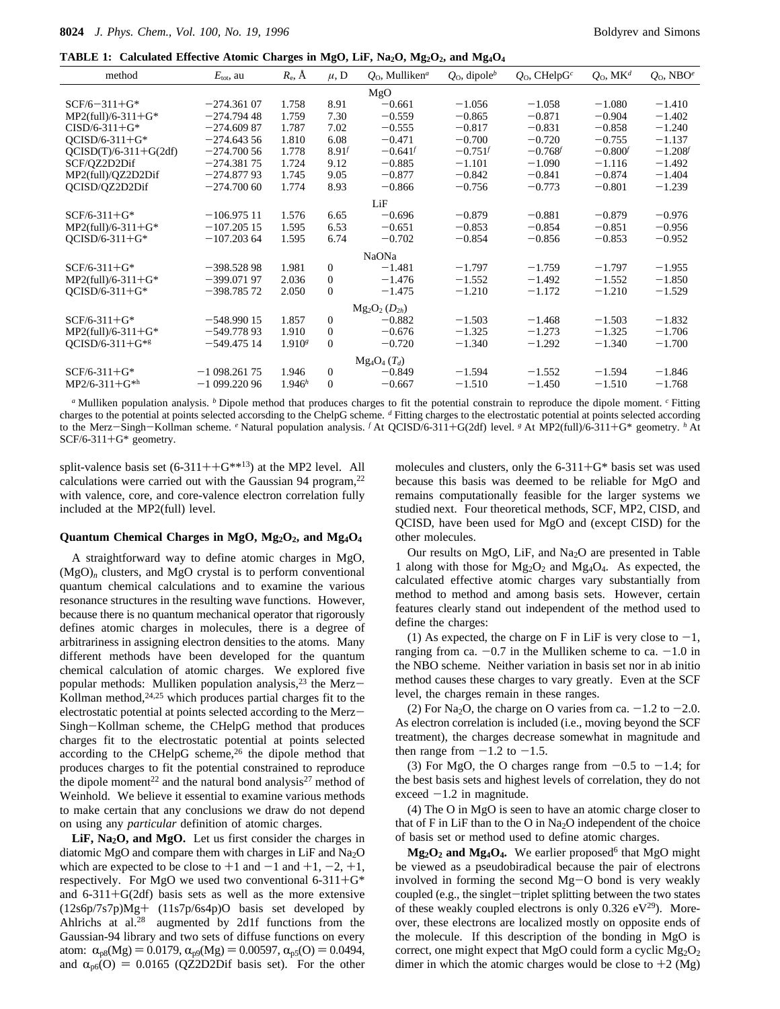**TABLE 1: Calculated Effective Atomic Charges in MgO, LiF, Na<sub>2</sub>O, Mg<sub>2</sub>O<sub>2</sub>, and Mg<sub>4</sub>O<sub>4</sub>** 

| method                  | $E_{\text{tot}}$ , au | $R_{\rm e}$ , $\rm \AA$ | $\mu$ , D      | $Q_0$ , Mulliken <sup>a</sup> | $Q_0$ , dipole <sup>b</sup> | $Q_0$ , CHelpG <sup>c</sup> | $Q_0$ , MK <sup>d</sup> | $Q_0$ , NBO <sup><math>e</math></sup> |
|-------------------------|-----------------------|-------------------------|----------------|-------------------------------|-----------------------------|-----------------------------|-------------------------|---------------------------------------|
|                         |                       |                         |                | MgO                           |                             |                             |                         |                                       |
| $SCF/6 - 311 + G*$      | $-274.36107$          | 1.758                   | 8.91           | $-0.661$                      | $-1.056$                    | $-1.058$                    | $-1.080$                | $-1.410$                              |
| $MP2$ (full)/6-311+G*   | $-274.79448$          | 1.759                   | 7.30           | $-0.559$                      | $-0.865$                    | $-0.871$                    | $-0.904$                | $-1.402$                              |
| $CISD/6-311+G*$         | $-274.60987$          | 1.787                   | 7.02           | $-0.555$                      | $-0.817$                    | $-0.831$                    | $-0.858$                | $-1.240$                              |
| $OCISD/6-311+G*$        | $-274.64356$          | 1.810                   | 6.08           | $-0.471$                      | $-0.700$                    | $-0.720$                    | $-0.755$                | $-1.137$                              |
| $QCISD(T)/6-311+G(2df)$ | $-274.70056$          | 1.778                   | $8.91$ f       | $-0.641$                      | $-0.751^{f}$                | $-0.768$                    | $-0.800^{f}$            | $-1.208$                              |
| SCF/QZ2D2Dif            | $-274.38175$          | 1.724                   | 9.12           | $-0.885$                      | $-1.101$                    | $-1.090$                    | $-1.116$                | $-1.492$                              |
| MP2(full)/QZ2D2Dif      | $-274.87793$          | 1.745                   | 9.05           | $-0.877$                      | $-0.842$                    | $-0.841$                    | $-0.874$                | $-1.404$                              |
| QCISD/QZ2D2Dif          | $-274.70060$          | 1.774                   | 8.93           | $-0.866$                      | $-0.756$                    | $-0.773$                    | $-0.801$                | $-1.239$                              |
|                         |                       |                         |                | LiF                           |                             |                             |                         |                                       |
| $SCF/6-311+G*$          | $-106.97511$          | 1.576                   | 6.65           | $-0.696$                      | $-0.879$                    | $-0.881$                    | $-0.879$                | $-0.976$                              |
| $MP2$ (full)/6-311+G*   | $-107.20515$          | 1.595                   | 6.53           | $-0.651$                      | $-0.853$                    | $-0.854$                    | $-0.851$                | $-0.956$                              |
| $QCISD/6-311+G*$        | $-107.20364$          | 1.595                   | 6.74           | $-0.702$                      | $-0.854$                    | $-0.856$                    | $-0.853$                | $-0.952$                              |
|                         |                       |                         |                | NaONa                         |                             |                             |                         |                                       |
| $SCF/6-311+G*$          | $-398.52898$          | 1.981                   | $\overline{0}$ | $-1.481$                      | $-1.797$                    | $-1.759$                    | $-1.797$                | $-1.955$                              |
| $MP2$ (full)/6-311+G*   | $-399.07197$          | 2.036                   | $\mathbf{0}$   | $-1.476$                      | $-1.552$                    | $-1.492$                    | $-1.552$                | $-1.850$                              |
| $OCISD/6-311+G*$        | $-398.78572$          | 2.050                   | $\theta$       | $-1.475$                      | $-1.210$                    | $-1.172$                    | $-1.210$                | $-1.529$                              |
|                         |                       |                         |                | $Mg_2O_2(D_{2h})$             |                             |                             |                         |                                       |
| $SCF/6-311+G*$          | $-548.99015$          | 1.857                   | $\Omega$       | $-0.882$                      | $-1.503$                    | $-1.468$                    | $-1.503$                | $-1.832$                              |
| $MP2$ (full)/6-311+G*   | $-549.77893$          | 1.910                   | $\mathbf{0}$   | $-0.676$                      | $-1.325$                    | $-1.273$                    | $-1.325$                | $-1.706$                              |
| $QCISD/6-311+G^{*g}$    | $-549.47514$          | 1.910 <sup>g</sup>      | $\Omega$       | $-0.720$                      | $-1.340$                    | $-1.292$                    | $-1.340$                | $-1.700$                              |
|                         |                       |                         |                | $Mg_4O_4(T_d)$                |                             |                             |                         |                                       |
| $SCF/6-311+G*$          | $-1098.26175$         | 1.946                   | $\mathbf{0}$   | $-0.849$                      | $-1.594$                    | $-1.552$                    | $-1.594$                | $-1.846$                              |
| $MP2/6-311+G*h$         | $-1099.22096$         | 1.946 <sup>h</sup>      | $\mathbf{0}$   | $-0.667$                      | $-1.510$                    | $-1.450$                    | $-1.510$                | $-1.768$                              |
|                         |                       |                         |                |                               |                             |                             |                         |                                       |

*<sup>a</sup>* Mulliken population analysis. *<sup>b</sup>* Dipole method that produces charges to fit the potential constrain to reproduce the dipole moment. *<sup>c</sup>* Fitting charges to the potential at points selected accorsding to the ChelpG scheme. *<sup>d</sup>* Fitting charges to the electrostatic potential at points selected according to the Merz-Singh-Kollman scheme. <sup>*e*</sup> Natural population analysis. <sup>*f*</sup> At QCISD/6-311+G(2df) level. <sup>*g*</sup> At MP2(full)/6-311+G\* geometry. <sup>*h*</sup> At  $SCF/6-311+G*$  geometry.

split-valence basis set  $(6-311++G^{***13})$  at the MP2 level. All calculations were carried out with the Gaussian 94 program, $22$ with valence, core, and core-valence electron correlation fully included at the MP2(full) level.

### Quantum Chemical Charges in MgO, Mg<sub>2</sub>O<sub>2</sub>, and Mg<sub>4</sub>O<sub>4</sub>

A straightforward way to define atomic charges in MgO,  $(MgO)<sub>n</sub>$  clusters, and MgO crystal is to perform conventional quantum chemical calculations and to examine the various resonance structures in the resulting wave functions. However, because there is no quantum mechanical operator that rigorously defines atomic charges in molecules, there is a degree of arbitrariness in assigning electron densities to the atoms. Many different methods have been developed for the quantum chemical calculation of atomic charges. We explored five popular methods: Mulliken population analysis,<sup>23</sup> the Merz-Kollman method, $24,25$  which produces partial charges fit to the electrostatic potential at points selected according to the Merz-Singh-Kollman scheme, the CHelpG method that produces charges fit to the electrostatic potential at points selected according to the CHelpG scheme,<sup>26</sup> the dipole method that produces charges to fit the potential constrained to reproduce the dipole moment<sup>22</sup> and the natural bond analysis<sup>27</sup> method of Weinhold. We believe it essential to examine various methods to make certain that any conclusions we draw do not depend on using any *particular* definition of atomic charges.

LiF, Na<sub>2</sub>O, and MgO. Let us first consider the charges in diatomic MgO and compare them with charges in LiF and Na2O which are expected to be close to  $+1$  and  $-1$  and  $+1$ ,  $-2$ ,  $+1$ , respectively. For MgO we used two conventional  $6-311+G^*$ and  $6-311+G(2df)$  basis sets as well as the more extensive (12s6p/7s7p)Mg+ (11s7p/6s4p)O basis set developed by Ahlrichs at al.28 augmented by 2d1f functions from the Gaussian-94 library and two sets of diffuse functions on every atom:  $\alpha_{p8}(Mg) = 0.0179$ ,  $\alpha_{p9}(Mg) = 0.00597$ ,  $\alpha_{p5}(O) = 0.0494$ , and  $\alpha_{p6}(O) = 0.0165$  (QZ2D2Dif basis set). For the other molecules and clusters, only the  $6-311+G^*$  basis set was used because this basis was deemed to be reliable for MgO and remains computationally feasible for the larger systems we studied next. Four theoretical methods, SCF, MP2, CISD, and QCISD, have been used for MgO and (except CISD) for the other molecules.

Our results on MgO, LiF, and Na2O are presented in Table 1 along with those for  $Mg_2O_2$  and  $Mg_4O_4$ . As expected, the calculated effective atomic charges vary substantially from method to method and among basis sets. However, certain features clearly stand out independent of the method used to define the charges:

(1) As expected, the charge on F in LiF is very close to  $-1$ , ranging from ca.  $-0.7$  in the Mulliken scheme to ca.  $-1.0$  in the NBO scheme. Neither variation in basis set nor in ab initio method causes these charges to vary greatly. Even at the SCF level, the charges remain in these ranges.

(2) For Na<sub>2</sub>O, the charge on O varies from ca.  $-1.2$  to  $-2.0$ . As electron correlation is included (i.e., moving beyond the SCF treatment), the charges decrease somewhat in magnitude and then range from  $-1.2$  to  $-1.5$ .

(3) For MgO, the O charges range from  $-0.5$  to  $-1.4$ ; for the best basis sets and highest levels of correlation, they do not exceed  $-1.2$  in magnitude.

(4) The O in MgO is seen to have an atomic charge closer to that of F in LiF than to the O in  $Na<sub>2</sub>O$  independent of the choice of basis set or method used to define atomic charges.

 $Mg_2O_2$  and  $Mg_4O_4$ . We earlier proposed<sup>6</sup> that MgO might be viewed as a pseudobiradical because the pair of electrons involved in forming the second Mg-O bond is very weakly coupled (e.g., the singlet-triplet splitting between the two states of these weakly coupled electrons is only  $0.326 \text{ eV}^{29}$ ). Moreover, these electrons are localized mostly on opposite ends of the molecule. If this description of the bonding in MgO is correct, one might expect that MgO could form a cyclic  $Mg_2O_2$ dimer in which the atomic charges would be close to  $+2$  (Mg)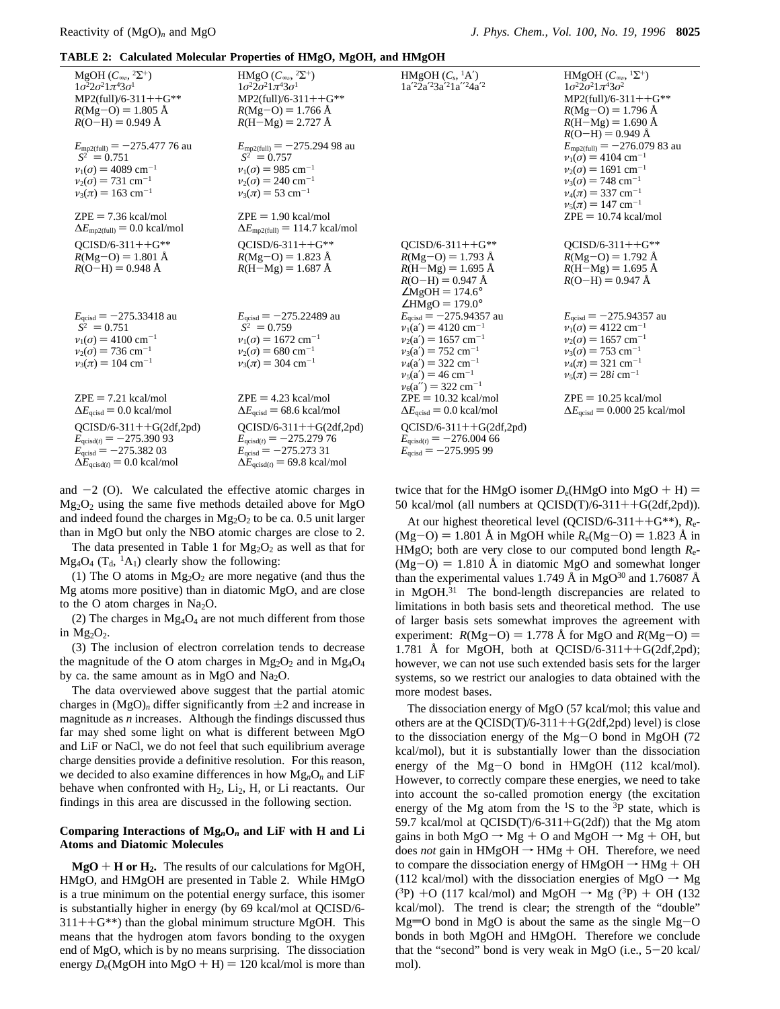# **TABLE 2: Calculated Molecular Properties of HMgO, MgOH, and HMgOH**

|                                                                                                                                                                  | home all cancamica molecular rroperates of mirigory ingoing and mirigori                                                                                       |                                                                                                                                                                    |                                                                                                                                                                                                            |
|------------------------------------------------------------------------------------------------------------------------------------------------------------------|----------------------------------------------------------------------------------------------------------------------------------------------------------------|--------------------------------------------------------------------------------------------------------------------------------------------------------------------|------------------------------------------------------------------------------------------------------------------------------------------------------------------------------------------------------------|
| MgOH $(C_{\infty}^{\circ}, 2\Sigma^+)$<br>$1\sigma^2 2\sigma^2 1\pi^4 3\sigma^1$<br>$MP2$ (full)/6-311++G**<br>$R(Mg-O) = 1.805$ Å<br>$R(O-H) = 0.949 \text{ Å}$ | HMgO $(C_{\infty\nu},{}^2\Sigma^+)$<br>$1\sigma^2 2\sigma^2 1\pi^4 3\sigma^1$<br>$MP2$ (full)/6-311++G**<br>$R(Mg-O) = 1.766$ Å<br>$R(H-Mg) = 2.727 \text{ Å}$ | HMgOH $(C_s, {}^1A')$<br>$1a'^22a'^23a'^21a''^24a'^2$                                                                                                              | HMgOH $(C_{\infty}$ , ${}^{1}\Sigma^{+})$<br>$1\sigma^2 2\sigma^2 1\pi^4 3\sigma^2$<br>$MP2$ (full)/6-311++G**<br>$R(Mg-O) = 1.796 \text{ Å}$<br>$R(H-Mg) = 1.690 \text{ Å}$<br>$R(O-H) = 0.949 \text{ Å}$ |
| $E_{\text{mp2(full)}} = -275.477.76$ au<br>$\langle S^2 \rangle = 0.751$                                                                                         | $E_{\text{mp2(full)}} = -275.29498$ au<br>$\langle S^2 \rangle = 0.757$                                                                                        |                                                                                                                                                                    | $E_{\text{mp2(full)}} = -276.07983$ au<br>$v_1(\sigma) = 4104$ cm <sup>-1</sup>                                                                                                                            |
| $v_1(\sigma) = 4089$ cm <sup>-1</sup>                                                                                                                            | $v_1(\sigma) = 985$ cm <sup>-1</sup>                                                                                                                           |                                                                                                                                                                    | $v_2(\sigma) = 1691$ cm <sup>-1</sup>                                                                                                                                                                      |
| $v_2(\sigma) = 731$ cm <sup>-1</sup>                                                                                                                             | $v_2(\sigma) = 240 \text{ cm}^{-1}$                                                                                                                            |                                                                                                                                                                    | $v_3(\sigma) = 748$ cm <sup>-1</sup>                                                                                                                                                                       |
| $v_3(\pi) = 163$ cm <sup>-1</sup>                                                                                                                                | $v_3(\pi) = 53$ cm <sup>-1</sup>                                                                                                                               |                                                                                                                                                                    | $v_4(\pi) = 337$ cm <sup>-1</sup>                                                                                                                                                                          |
| $ZPE = 7.36$ kcal/mol                                                                                                                                            | $ZPE = 1.90$ kcal/mol                                                                                                                                          |                                                                                                                                                                    | $v_5(\pi) = 147$ cm <sup>-1</sup><br>$ZPE = 10.74$ kcal/mol                                                                                                                                                |
| $\Delta E_{\text{mp2(full)}} = 0.0 \text{ kcal/mol}$                                                                                                             | $\Delta E_{\text{mp2(full)}} = 114.7 \text{ kcal/mol}$                                                                                                         |                                                                                                                                                                    |                                                                                                                                                                                                            |
| $OCISD/6-311++G**$<br>$R(Mg-O) = 1.801$ Å<br>$R(O-H) = 0.948 \text{ Å}$                                                                                          | $QCISD/6-311++G**$<br>$R(Mg-O) = 1.823 \text{ Å}$<br>$R(H-Mg) = 1.687 \text{ Å}$                                                                               | $OCISD/6-311++G**$<br>$R(Mg-O) = 1.793 \text{ Å}$<br>$R(H-Mg) = 1.695 \text{ Å}$<br>$R(O-H) = 0.947 \text{ Å}$<br>$\angle$ MgOH = 174.6°<br>$\angle$ HMgO = 179.0° | $OCISD/6-311++G**$<br>$R(Mg-O) = 1.792 \text{ Å}$<br>$R(H-Mg) = 1.695 \text{ Å}$<br>$R(O-H) = 0.947 \text{ Å}$                                                                                             |
| $E_{\text{qcisd}} = -275.33418$ au<br>$\langle S^2 \rangle = 0.751$                                                                                              | $E_{\text{acisd}} = -275.22489$ au<br>$\langle S^2 \rangle = 0.759$                                                                                            | $E_{\text{qcisd}} = -275.94357$ au<br>$v_1(a') = 4120 \text{ cm}^{-1}$                                                                                             | $E_{\text{acisd}} = -275.94357$ au<br>$v_1(\sigma) = 4122$ cm <sup>-1</sup>                                                                                                                                |
| $v_1(\sigma) = 4100 \text{ cm}^{-1}$                                                                                                                             | $v_1(\sigma) = 1672$ cm <sup>-1</sup>                                                                                                                          | $v_2(a') = 1657$ cm <sup>-1</sup>                                                                                                                                  | $v_2(\sigma) = 1657$ cm <sup>-1</sup>                                                                                                                                                                      |
| $v_2(\sigma) = 736$ cm <sup>-1</sup>                                                                                                                             | $v_2(\sigma) = 680$ cm <sup>-1</sup>                                                                                                                           | $v_3(a') = 752$ cm <sup>-1</sup>                                                                                                                                   | $v_3(\sigma) = 753$ cm <sup>-1</sup>                                                                                                                                                                       |
| $v_3(\pi) = 104$ cm <sup>-1</sup>                                                                                                                                | $v_3(\pi) = 304$ cm <sup>-1</sup>                                                                                                                              | $v_4(a') = 322$ cm <sup>-1</sup><br>$v_5(a') = 46$ cm <sup>-1</sup><br>$v_6(a'') = 322 \text{ cm}^{-1}$                                                            | $v_4(\pi) = 321$ cm <sup>-1</sup><br>$v_5(\pi) = 28i$ cm <sup>-1</sup>                                                                                                                                     |
| $ZPE = 7.21$ kcal/mol                                                                                                                                            | $ZPE = 4.23$ kcal/mol                                                                                                                                          | $ZPE = 10.32$ kcal/mol                                                                                                                                             | $ZPE = 10.25$ kcal/mol                                                                                                                                                                                     |
| $\Delta E_{\text{acisd}}$ = 0.0 kcal/mol                                                                                                                         | $\Delta E_{\text{qcisd}}$ = 68.6 kcal/mol                                                                                                                      | $\Delta E_{\text{qcisd}}$ = 0.0 kcal/mol                                                                                                                           | $\Delta E_{\text{acisd}}$ = 0.000 25 kcal/mol                                                                                                                                                              |
| $QCISD/6-311++G(2df,2pd)$<br>$E_{\text{qcisd}(t)} = -275.39093$<br>$E_{\text{qcisd}} = -275.38203$<br>$\Delta E_{\text{acisd}(t)} = 0.0 \text{ kcal/mol}$        | $QCISD/6-311++G(2df,2pd)$<br>$E_{\text{qcisd}(t)} = -275.279\,76$<br>$E_{\text{acisd}} = -275.273.31$<br>$\Delta E_{\text{qcisd}(t)} = 69.8 \text{ kcal/mol}$  | $QCISD/6-311++G(2df,2pd)$<br>$E_{\text{accisd}(t)} = -276.00466$<br>$E_{\text{acisd}} = -275.99599$                                                                |                                                                                                                                                                                                            |
|                                                                                                                                                                  |                                                                                                                                                                |                                                                                                                                                                    |                                                                                                                                                                                                            |

and  $-2$  (O). We calculated the effective atomic charges in  $Mg_2O_2$  using the same five methods detailed above for MgO and indeed found the charges in  $Mg_2O_2$  to be ca. 0.5 unit larger than in MgO but only the NBO atomic charges are close to 2.

The data presented in Table 1 for  $Mg_2O_2$  as well as that for  $Mg_4O_4$  (T<sub>d</sub>, <sup>1</sup>A<sub>1</sub>) clearly show the following:

(1) The O atoms in  $Mg_2O_2$  are more negative (and thus the Mg atoms more positive) than in diatomic MgO, and are close to the O atom charges in  $Na<sub>2</sub>O$ .

(2) The charges in  $Mg_4O_4$  are not much different from those in  $Mg_2O_2$ .

(3) The inclusion of electron correlation tends to decrease the magnitude of the O atom charges in  $Mg_2O_2$  and in  $Mg_4O_4$ by ca. the same amount as in MgO and Na<sub>2</sub>O.

The data overviewed above suggest that the partial atomic charges in  $(MgO)<sub>n</sub>$  differ significantly from  $\pm 2$  and increase in magnitude as *n* increases. Although the findings discussed thus far may shed some light on what is different between MgO and LiF or NaCl, we do not feel that such equilibrium average charge densities provide a definitive resolution. For this reason, we decided to also examine differences in how Mg*n*O*<sup>n</sup>* and LiF behave when confronted with  $H_2$ ,  $Li_2$ ,  $H$ , or Li reactants. Our findings in this area are discussed in the following section.

## **Comparing Interactions of Mg***n***O***<sup>n</sup>* **and LiF with H and Li Atoms and Diatomic Molecules**

 $MgO + H$  or  $H_2$ . The results of our calculations for MgOH, HMgO, and HMgOH are presented in Table 2. While HMgO is a true minimum on the potential energy surface, this isomer is substantially higher in energy (by 69 kcal/mol at QCISD/6-  $311++G^{**}$ ) than the global minimum structure MgOH. This means that the hydrogen atom favors bonding to the oxygen end of MgO, which is by no means surprising. The dissociation energy  $D_e(MgOH)$  into  $MgO + H$ ) = 120 kcal/mol is more than twice that for the HMgO isomer  $D_e(HMgO)$  into  $MgO + H$ ) = 50 kcal/mol (all numbers at QCISD(T)/6-311++G(2df,2pd)).

At our highest theoretical level (QCISD/6-311++G\*\*), *<sup>R</sup>*e-  $(Mg-O) = 1.801$  Å in MgOH while  $R_e(Mg-O) = 1.823$  Å in HMgO; both are very close to our computed bond length *R*e-  $(Mg-O) = 1.810$  Å in diatomic MgO and somewhat longer than the experimental values 1.749 Å in MgO<sup>30</sup> and 1.76087 Å in MgOH.31 The bond-length discrepancies are related to limitations in both basis sets and theoretical method. The use of larger basis sets somewhat improves the agreement with experiment:  $R(Mg-O) = 1.778$  Å for MgO and  $R(Mg-O) =$ 1.781 Å for MgOH, both at QCISD/6-311++G(2df,2pd); however, we can not use such extended basis sets for the larger systems, so we restrict our analogies to data obtained with the more modest bases.

The dissociation energy of MgO (57 kcal/mol; this value and others are at the QCISD(T)/6-311++ $G(2df,2pd)$  level) is close to the dissociation energy of the Mg-O bond in MgOH (72 kcal/mol), but it is substantially lower than the dissociation energy of the Mg-O bond in HMgOH (112 kcal/mol). However, to correctly compare these energies, we need to take into account the so-called promotion energy (the excitation energy of the Mg atom from the  ${}^{1}S$  to the  ${}^{3}P$  state, which is 59.7 kcal/mol at  $QCISD(T)/6-311+G(2df)$  that the Mg atom gains in both  $MgO \rightarrow Mg + O$  and  $MgOH \rightarrow Mg + OH$ , but does *not* gain in HMgOH  $\rightarrow$  HMg + OH. Therefore, we need to compare the dissociation energy of  $HMgOH \rightarrow HMg + OH$ (112 kcal/mol) with the dissociation energies of MgO  $\rightarrow$  Mg  $(3P)$  +O (117 kcal/mol) and MgOH  $\rightarrow$  Mg (3P) + OH (132 kcal/mol). The trend is clear; the strength of the "double"  $Mg=O$  bond in MgO is about the same as the single  $Mg-O$ bonds in both MgOH and HMgOH. Therefore we conclude that the "second" bond is very weak in MgO (i.e.,  $5-20$  kcal/ mol).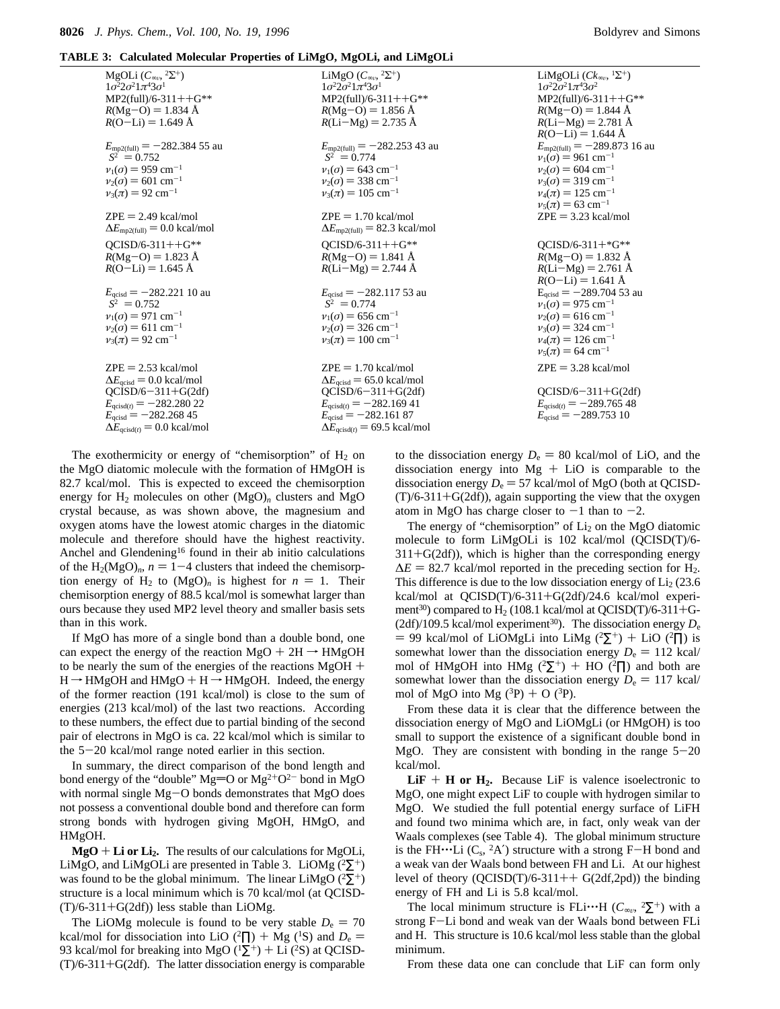|  |  |  |  |  |  | TABLE 3: Calculated Molecular Properties of LiMgO, MgOLi, and LiMgOLi |
|--|--|--|--|--|--|-----------------------------------------------------------------------|
|--|--|--|--|--|--|-----------------------------------------------------------------------|

| MgOLi $(C_{\infty}$ , $2\Sigma^+$ )<br>$1\sigma^2 2\sigma^2 1\pi^4 3\sigma^1$<br>$MP2(full)/6-311++G**$<br>$R(Mg-O) = 1.834 \text{ Å}$<br>$R(O-Li) = 1.649 \text{ Å}$                                                                 | LiMgO $(C_{\infty}^n, {}^2\Sigma^+)$<br>$1\sigma^2 2\sigma^2 1\pi^4 3\sigma^1$<br>$MP2$ (full)/6-311++G**<br>$R(Mg-O) = 1.856 \text{ Å}$<br>$R(Li-Mg) = 2.735 \text{ Å}$                                                | LiMgOLi $(Ck_{\infty}$ , $1\Sigma^+$ )<br>$1\sigma^2 2\sigma^2 1\pi^4 3\sigma^2$<br>$MP2$ (full)/6-311++G**<br>$R(Mg-O) = 1.844 \text{ Å}$<br>$R(Li-Mg) = 2.781 \text{ Å}$<br>$R(O-Li) = 1.644 \text{ Å}$                                |
|---------------------------------------------------------------------------------------------------------------------------------------------------------------------------------------------------------------------------------------|-------------------------------------------------------------------------------------------------------------------------------------------------------------------------------------------------------------------------|------------------------------------------------------------------------------------------------------------------------------------------------------------------------------------------------------------------------------------------|
| $E_{\text{mp2(full)}} = -282.38455$ au<br>$\langle S^2 \rangle = 0.752$<br>$v_1(\sigma) = 959$ cm <sup>-1</sup><br>$v_2(\sigma) = 601$ cm <sup>-1</sup><br>$v_3(\pi) = 92$ cm <sup>-1</sup>                                           | $E_{\text{mp2(full)}} = -282.25343$ au<br>$\langle S^2 \rangle = 0.774$<br>$v_1(\sigma) = 643$ cm <sup>-1</sup><br>$v_2(\sigma) = 338$ cm <sup>-1</sup><br>$v_3(\pi) = 105$ cm <sup>-1</sup>                            | $E_{\text{mp2(full)}} = -289.873$ 16 au<br>$v_1(\sigma) = 961$ cm <sup>-1</sup><br>$v_2(\sigma) = 604$ cm <sup>-1</sup><br>$v_3(\sigma) = 319$ cm <sup>-1</sup><br>$v_4(\pi) = 125$ cm <sup>-1</sup><br>$v_5(\pi) = 63$ cm <sup>-1</sup> |
| $ZPE = 2.49$ kcal/mol<br>$\Delta E_{\text{mp2(full)}} = 0.0 \text{ kcal/mol}$                                                                                                                                                         | $ZPE = 1.70$ kcal/mol<br>$\Delta E_{\text{mp2(full)}} = 82.3 \text{ kcal/mol}$                                                                                                                                          | $ZPE = 3.23$ kcal/mol                                                                                                                                                                                                                    |
| $OCISD/6-311++G**$<br>$R(Mg-O) = 1.823 \text{ Å}$<br>$R(O-Li) = 1.645 \text{ Å}$                                                                                                                                                      | $OCISD/6-311++G**$<br>$R(Mg-O) = 1.841 \text{ Å}$<br>$R(Li-Mg) = 2.744 \text{ Å}$                                                                                                                                       | $OCISD/6-311+*G**$<br>$R(Mg-O) = 1.832 \text{ Å}$<br>$R(Li-Mg) = 2.761 \text{ Å}$<br>$R(O-Li) = 1.641 \text{ Å}$                                                                                                                         |
| $E_{\text{acisd}} = -282.22110 \text{ au}$<br>$\langle S^2 \rangle = 0.752$<br>$v_1(\sigma) = 971$ cm <sup>-1</sup><br>$v_2(\sigma) = 611$ cm <sup>-1</sup><br>$v_3(\pi) = 92$ cm <sup>-1</sup>                                       | $E_{\text{acisd}} = -282.11753$ au<br>$\langle S^2 \rangle = 0.774$<br>$v_1(\sigma) = 656$ cm <sup>-1</sup><br>$v_2(\sigma) = 326$ cm <sup>-1</sup><br>$v_3(\pi) = 100 \text{ cm}^{-1}$                                 | $E_{\text{acisd}} = -289.70453$ au<br>$v_1(\sigma) = 975$ cm <sup>-1</sup><br>$v_2(\sigma) = 616$ cm <sup>-1</sup><br>$v_3(\sigma) = 324$ cm <sup>-1</sup><br>$v_4(\pi) = 126$ cm <sup>-1</sup><br>$v_5(\pi) = 64$ cm <sup>-1</sup>      |
| $ZPE = 2.53$ kcal/mol<br>$\Delta E_{\text{qcisd}} = 0.0 \text{ kcal/mol}$<br>$QCISD/6 - 311 + G(2df)$<br>$E_{\text{qcisd}(t)} = -282.28022$<br>$E_{\text{qcisd}} = -282.26845$<br>$\Delta E_{\text{acisd}(t)} = 0.0 \text{ kcal/mol}$ | $ZPE = 1.70$ kcal/mol<br>$\Delta E_{\text{qcisd}}$ = 65.0 kcal/mol<br>$QCISD/6 - 311 + G(2df)$<br>$E_{\text{qcisd}(t)} = -282.16941$<br>$E_{\text{qcisd}} = -282.16187$<br>$\Delta E_{\text{acisd}(t)}$ = 69.5 kcal/mol | $ZPE = 3.28$ kcal/mol<br>$QCISD/6 - 311 + G(2df)$<br>$E_{\text{qcisd}(t)} = -289.76548$<br>$E_{\text{qcisd}} = -289.75310$                                                                                                               |

The exothermicity or energy of "chemisorption" of  $H_2$  on the MgO diatomic molecule with the formation of HMgOH is 82.7 kcal/mol. This is expected to exceed the chemisorption energy for  $H_2$  molecules on other  $(MgO)_n$  clusters and MgO crystal because, as was shown above, the magnesium and oxygen atoms have the lowest atomic charges in the diatomic molecule and therefore should have the highest reactivity. Anchel and Glendening<sup>16</sup> found in their ab initio calculations of the  $H_2(MgO)<sub>n</sub>$ ,  $n = 1-4$  clusters that indeed the chemisorption energy of H<sub>2</sub> to  $(MgO)<sub>n</sub>$  is highest for  $n = 1$ . Their chemisorption energy of 88.5 kcal/mol is somewhat larger than ours because they used MP2 level theory and smaller basis sets than in this work.

If MgO has more of a single bond than a double bond, one can expect the energy of the reaction  $MgO + 2H \rightarrow HMgOH$ to be nearly the sum of the energies of the reactions MgOH +  $H \rightarrow HMgOH$  and  $HMgO + H \rightarrow HMgOH$ . Indeed, the energy of the former reaction (191 kcal/mol) is close to the sum of energies (213 kcal/mol) of the last two reactions. According to these numbers, the effect due to partial binding of the second pair of electrons in MgO is ca. 22 kcal/mol which is similar to the 5-20 kcal/mol range noted earlier in this section.

In summary, the direct comparison of the bond length and bond energy of the "double" Mg=O or  $Mg^{2+}O^{2-}$  bond in MgO with normal single  $Mg - O$  bonds demonstrates that  $MgO$  does not possess a conventional double bond and therefore can form strong bonds with hydrogen giving MgOH, HMgO, and HMgOH.

 $MgO + Li$  or  $Li<sub>2</sub>$ . The results of our calculations for MgOLi, LiMgO, and LiMgOLi are presented in Table 3. LiOMg  $(^{2}\Sigma^{+})$ was found to be the global minimum. The linear LiMgO  $(2\Sigma^+)$ structure is a local minimum which is 70 kcal/mol (at QCISD-  $(T)/6-311+G(2df)$ ) less stable than LiOMg.

The LiOMg molecule is found to be very stable  $D_e = 70$ kcal/mol for dissociation into LiO ( ${}^{2}$  $\Pi$ ) + Mg (<sup>1</sup>S) and  $D_e$  = 93 kcal/mol for breaking into MgO ( ${}^{1}\Sigma^{+}$ ) + Li ( ${}^{2}$ S) at QCISD- $(T)/6-311+G(2df)$ . The latter dissociation energy is comparable to the dissociation energy  $D_e = 80$  kcal/mol of LiO, and the dissociation energy into Mg + LiO is comparable to the dissociation energy  $D_e = 57$  kcal/mol of MgO (both at QCISD- $(T)/6-311+G(2df)$ , again supporting the view that the oxygen atom in MgO has charge closer to  $-1$  than to  $-2$ .

The energy of "chemisorption" of  $Li<sub>2</sub>$  on the MgO diatomic molecule to form LiMgOLi is 102 kcal/mol (QCISD(T)/6-  $311+G(2df)$ , which is higher than the corresponding energy  $\Delta E = 82.7$  kcal/mol reported in the preceding section for H<sub>2</sub>. This difference is due to the low dissociation energy of  $Li<sub>2</sub>$  (23.6) kcal/mol at QCISD(T)/6-311+G(2df)/24.6 kcal/mol experiment<sup>30</sup>) compared to  $H_2$  (108.1 kcal/mol at QCISD(T)/6-311+G-(2df)/109.5 kcal/mol experiment<sup>30</sup>). The dissociation energy  $D_e$  $= 99$  kcal/mol of LiOMgLi into LiMg (<sup>2</sup> $\Sigma$ <sup>+</sup>) + LiO (<sup>2</sup> $\Pi$ ) is somewhat lower than the dissociation energy  $D_e = 112$  kcal/ mol of HMgOH into HMg ( ${}^{2}\Sigma^{+}$ ) + HO ( ${}^{2}\Pi$ ) and both are somewhat lower than the dissociation energy  $D_e = 117$  kcal/ mol of MgO into Mg  $(^{3}P)$  + O  $(^{3}P)$ .

From these data it is clear that the difference between the dissociation energy of MgO and LiOMgLi (or HMgOH) is too small to support the existence of a significant double bond in MgO. They are consistent with bonding in the range  $5-20$ kcal/mol.

**LiF**  $+$  **H** or **H**<sub>2</sub>. Because LiF is valence isoelectronic to MgO, one might expect LiF to couple with hydrogen similar to MgO. We studied the full potential energy surface of LiFH and found two minima which are, in fact, only weak van der Waals complexes (see Table 4). The global minimum structure is the FH $\cdot\cdot\cdot$ Li (C<sub>s</sub>, <sup>2</sup>A') structure with a strong F-H bond and a weak van der Waals bond between FH and Li. At our highest level of theory  $(QCISD(T)/6-311++ G(2df,2pd))$  the binding energy of FH and Li is 5.8 kcal/mol.

The local minimum structure is FLi $\cdots$ H ( $C_{\infty}$ , <sup>2</sup> $\Sigma$ <sup>+</sup>) with a strong F-Li bond and weak van der Waals bond between FLi and H. This structure is 10.6 kcal/mol less stable than the global minimum.

From these data one can conclude that LiF can form only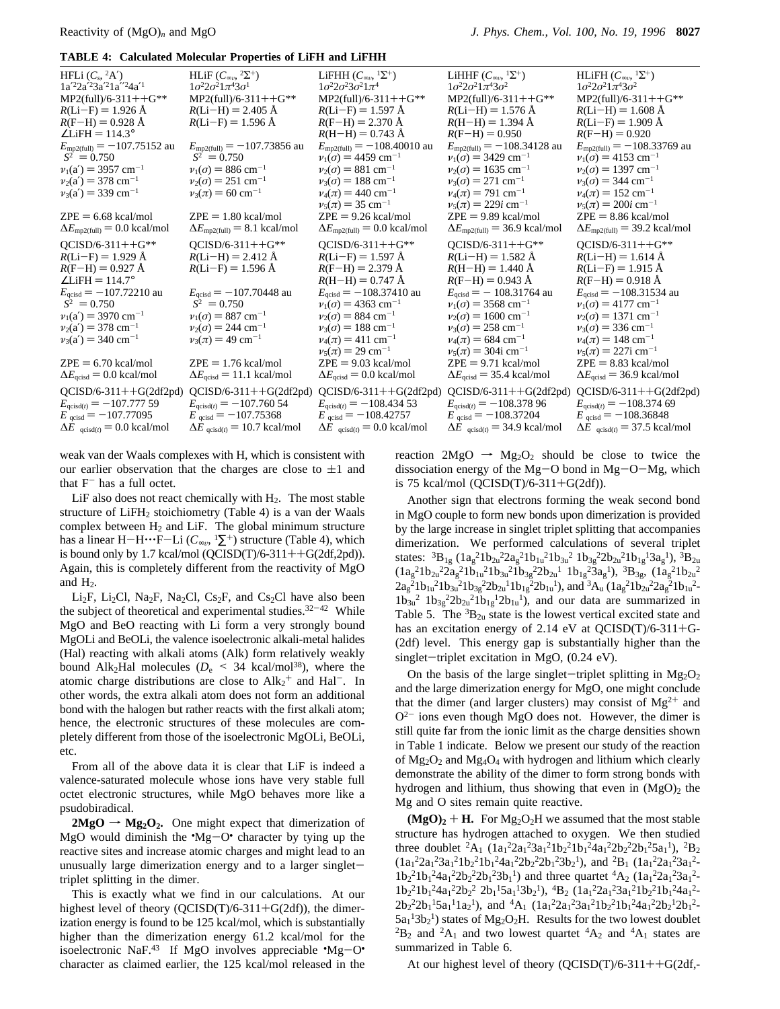|  | <b>TABLE 4: Calculated Molecular Properties of LiFH and LiFHH</b> |  |  |  |  |  |  |
|--|-------------------------------------------------------------------|--|--|--|--|--|--|
|--|-------------------------------------------------------------------|--|--|--|--|--|--|

| HFLi $(C_s, {}^2A')$<br>$1a'^22a'^23a'^21a''^24a'^1$<br>$MP2$ (full)/6-311++G**<br>$R(Li-F) = 1.926 \text{ Å}$<br>$R(F-H) = 0.928$ Å<br>$\angle$ LiFH = 114.3°<br>$E_{\text{mp2(full)}} = -107.75152$ au<br>$\langle S^2 \rangle = 0.750$<br>$v_1(a') = 3957$ cm <sup>-1</sup><br>$v_2(a') = 378$ cm <sup>-1</sup><br>$v_3(a') = 339$ cm <sup>-1</sup><br>$ZPE = 6.68$ kcal/mol<br>$\Delta E_{\text{mp2(full)}} = 0.0 \text{ kcal/mol}$                                                                                 | HLiF $(C_{\infty}$ , $^2\Sigma^+)$<br>$1\sigma^2 2\sigma^2 1\pi^4 3\sigma^1$<br>$MP2$ (full)/6-311++G**<br>$R(Li-H) = 2.405$ Å<br>$R(Li-F) = 1.596 \text{ Å}$<br>$E_{\text{mp2(full)}} = -107.73856$ au<br>$\langle S^2 \rangle = 0.750$<br>$v_1(\sigma) = 886$ cm <sup>-1</sup><br>$v_2(\sigma) = 251$ cm <sup>-1</sup><br>$v_3(\pi) = 60$ cm <sup>-1</sup><br>$ZPE = 1.80$ kcal/mol<br>$\Delta E_{\text{mp2(full)}} = 8.1 \text{ kcal/mol}$                                                                    | LiFHH $(C_{\infty n}, {}^{1}\Sigma^{+})$<br>$1\sigma^2 2\sigma^2 3\sigma^2 1\pi^4$<br>$MP2$ (full)/6-311++G**<br>$R(Li-F) = 1.597 \text{ Å}$<br>$R(F-H) = 2.370 \text{ Å}$<br>$R(H-H) = 0.743 \text{ Å}$<br>$E_{\text{mp2(full)}} = -108.40010 \text{ au}$<br>$v_1(\sigma) = 4459$ cm <sup>-1</sup><br>$v_2(\sigma) = 881$ cm <sup>-1</sup><br>$v_3(\sigma) = 188$ cm <sup>-1</sup><br>$v_4(\pi) = 440 \text{ cm}^{-1}$<br>$v_5(\pi) = 35$ cm <sup>-1</sup><br>$ZPE = 9.26$ kcal/mol<br>$\Delta E_{\text{mp2(full)}} = 0.0 \text{ kcal/mol}$                             | LiHHF $(C_{\infty n}, \frac{1}{2}E^{+})$<br>$1\sigma^2 2\sigma^2 1\pi^4 3\sigma^2$<br>$MP2$ (full)/6-311++G**<br>$R(Li-H) = 1.576$ Å<br>$R(H-H) = 1.394 \text{ Å}$<br>$R(F-H) = 0.950$<br>$E_{\text{mp2(full)}} = -108.34128$ au<br>$v_1(\sigma) = 3429$ cm <sup>-1</sup><br>$v_2(\sigma) = 1635$ cm <sup>-1</sup><br>$v_3(\sigma) = 271$ cm <sup>-1</sup><br>$v_4(\pi) = 791$ cm <sup>-1</sup><br>$v_5(\pi) = 229i$ cm <sup>-1</sup><br>$ZPE = 9.89$ kcal/mol<br>$\Delta E_{\text{mp2(full)}}$ = 36.9 kcal/mol                                            | HLiFH $(C_{\infty n}, 1\Sigma^+)$<br>$1\sigma^2 2\sigma^2 1\pi^4 3\sigma^2$<br>$MP2$ (full)/6-311++G**<br>$R(Li-H) = 1.608$ Å<br>$R(Li-F) = 1.909 \text{ Å}$<br>$R(F-H) = 0.920$<br>$E_{\text{mp2(full)}} = -108.33769$ au<br>$v_1(\sigma) = 4153$ cm <sup>-1</sup><br>$v_2(\sigma) = 1397$ cm <sup>-1</sup><br>$v_3(\sigma) = 344$ cm <sup>-1</sup><br>$v_4(\pi) = 152$ cm <sup>-1</sup><br>$v_5(\pi) = 200i$ cm <sup>-1</sup><br>$ZPE = 8.86$ kcal/mol<br>$\Delta E_{\text{mp2(full)}} = 39.2 \text{ kcal/mol}$                                                      |
|-------------------------------------------------------------------------------------------------------------------------------------------------------------------------------------------------------------------------------------------------------------------------------------------------------------------------------------------------------------------------------------------------------------------------------------------------------------------------------------------------------------------------|------------------------------------------------------------------------------------------------------------------------------------------------------------------------------------------------------------------------------------------------------------------------------------------------------------------------------------------------------------------------------------------------------------------------------------------------------------------------------------------------------------------|--------------------------------------------------------------------------------------------------------------------------------------------------------------------------------------------------------------------------------------------------------------------------------------------------------------------------------------------------------------------------------------------------------------------------------------------------------------------------------------------------------------------------------------------------------------------------|------------------------------------------------------------------------------------------------------------------------------------------------------------------------------------------------------------------------------------------------------------------------------------------------------------------------------------------------------------------------------------------------------------------------------------------------------------------------------------------------------------------------------------------------------------|------------------------------------------------------------------------------------------------------------------------------------------------------------------------------------------------------------------------------------------------------------------------------------------------------------------------------------------------------------------------------------------------------------------------------------------------------------------------------------------------------------------------------------------------------------------------|
| $QCISD/6-311++G**$<br>$R(Li-F) = 1.929 \text{ Å}$<br>$R(F-H) = 0.927 \text{ Å}$<br>$\angle$ LiFH = 114.7°<br>$E_{\text{acisd}} = -107.72210$ au<br>$\langle S^2 \rangle = 0.750$<br>$v_1(a') = 3970 \text{ cm}^{-1}$<br>$v_2(a') = 378$ cm <sup>-1</sup><br>$v_3(a') = 340$ cm <sup>-1</sup><br>$ZPE = 6.70$ kcal/mol<br>$\Delta E_{\text{qcisd}}$ = 0.0 kcal/mol<br>$QCISD/6-311++G(2df2pd)$<br>$E_{\text{qcisd}(t)} = -107.77759$<br>$E_{\text{acisd}} = -107.77095$<br>$\Delta E$ <sub>qcisd(t)</sub> = 0.0 kcal/mol | $QCISD/6-311++G**$<br>$R(Li-H) = 2.412 \text{ Å}$<br>$R(Li-F) = 1.596 \text{ Å}$<br>$E_{\text{acisd}} = -107.70448$ au<br>$\langle S^2 \rangle = 0.750$<br>$v_1(\sigma) = 887$ cm <sup>-1</sup><br>$v_2(\sigma) = 244$ cm <sup>-1</sup><br>$v_3(\pi) = 49$ cm <sup>-1</sup><br>$ZPE = 1.76$ kcal/mol<br>$\Delta E_{\text{qcisd}} = 11.1 \text{ kcal/mol}$<br>$QCISD/6-311++G(2df2pd)$<br>$E_{\text{acisd}(t)} = -107.76054$<br>$E_{\text{qcisd}} = -107.75368$<br>$\Delta E$ <sub>acisd(t)</sub> = 10.7 kcal/mol | $QCISD/6-311++G**$<br>$R(Li-F) = 1.597 \text{ Å}$<br>$R(F-H) = 2.379 \text{ Å}$<br>$R(H-H) = 0.747$ Å<br>$E_{\text{acisd}} = -108.37410$ au<br>$v_1(\sigma) = 4363$ cm <sup>-1</sup><br>$v_2(\sigma) = 884$ cm <sup>-1</sup><br>$v_3(\sigma) = 188$ cm <sup>-1</sup><br>$v_4(\pi) = 411$ cm <sup>-1</sup><br>$v_5(\pi) = 29$ cm <sup>-1</sup><br>$ZPE = 9.03$ kcal/mol<br>$\Delta E_{\text{qcisd}}$ = 0.0 kcal/mol<br>$QCISD/6-311++G(2df2pd)$<br>$E_{\text{qcisd}(t)} = -108.43453$<br>$E_{\text{qcisd}} = -108.42757$<br>$\Delta E$ <sub>qcisd(t)</sub> = 0.0 kcal/mol | $QCISD/6-311++G**$<br>$R(Li-H) = 1.582$ Å<br>$R(H-H) = 1.440 \text{ Å}$<br>$R(F-H) = 0.943$ Å<br>$E_{\text{acisd}} = -108.31764$ au<br>$v_1(\sigma) = 3568$ cm <sup>-1</sup><br>$v_2(\sigma) = 1600 \text{ cm}^{-1}$<br>$v_3(\sigma) = 258$ cm <sup>-1</sup><br>$v_4(\pi) = 684$ cm <sup>-1</sup><br>$v_5(\pi) = 304$ i cm <sup>-1</sup><br>$ZPE = 9.71$ kcal/mol<br>$\Delta E_{\text{qcisd}}$ = 35.4 kcal/mol<br>$QCISD/6-311++G(2df2pd)$<br>$E_{\text{qcisd}(t)} = -108.37896$<br>$E_{\text{qcisd}} = -108.37204$<br>$\Delta E$ qcisd(t) = 34.9 kcal/mol | $QCISD/6-311++G**$<br>$R(Li-H) = 1.614 \text{ Å}$<br>$R(Li-F) = 1.915 \text{ Å}$<br>$R(F-H) = 0.918$ Å<br>$E_{\text{acisd}} = -108.31534$ au<br>$v_1(\sigma) = 4177$ cm <sup>-1</sup><br>$v_2(\sigma) = 1371$ cm <sup>-1</sup><br>$v_3(\sigma) = 336$ cm <sup>-1</sup><br>$v_4(\pi) = 148$ cm <sup>-1</sup><br>$v_5(\pi) = 227$ i cm <sup>-1</sup><br>$ZPE = 8.83$ kcal/mol<br>$\Delta E_{\text{qcisd}}$ = 36.9 kcal/mol<br>$QCISD/6-311++G(2df2pd)$<br>$E_{\text{qcisd}(t)} = -108.374\,69$<br>$E_{\text{qcisd}} = -108.36848$<br>$\Delta E$ qcisd(t) = 37.5 kcal/mol |

weak van der Waals complexes with H, which is consistent with our earlier observation that the charges are close to  $\pm 1$  and that  $F^-$  has a full octet.

LiF also does not react chemically with  $H_2$ . The most stable structure of  $LiFH_2$  stoichiometry (Table 4) is a van der Waals complex between  $H_2$  and LiF. The global minimum structure has a linear H-H···F-Li ( $C_{\infty}$ , <sup>1</sup> $\Sigma$ <sup>+</sup>) structure (Table 4), which is bound only by 1.7 kcal/mol  $(QCISD(T)/6-311++G(2df,2pd)).$ Again, this is completely different from the reactivity of MgO and  $H_2$ .

Li<sub>2</sub>F, Li<sub>2</sub>Cl, Na<sub>2</sub>F, Na<sub>2</sub>Cl, Cs<sub>2</sub>F, and Cs<sub>2</sub>Cl have also been the subject of theoretical and experimental studies. $32-42$  While MgO and BeO reacting with Li form a very strongly bound MgOLi and BeOLi, the valence isoelectronic alkali-metal halides (Hal) reacting with alkali atoms (Alk) form relatively weakly bound Alk<sub>2</sub>Hal molecules ( $D_e$  < 34 kcal/mol<sup>38</sup>), where the atomic charge distributions are close to  $\text{Alk}_2^+$  and  $\text{Hal}^-$ . In other words, the extra alkali atom does not form an additional bond with the halogen but rather reacts with the first alkali atom; hence, the electronic structures of these molecules are completely different from those of the isoelectronic MgOLi, BeOLi, etc.

From all of the above data it is clear that LiF is indeed a valence-saturated molecule whose ions have very stable full octet electronic structures, while MgO behaves more like a psudobiradical.

 $2MgO \rightarrow Mg<sub>2</sub>O<sub>2</sub>$ . One might expect that dimerization of MgO would diminish the  $^{\bullet}$ Mg $^{\bullet}$ O $^{\bullet}$  character by tying up the reactive sites and increase atomic charges and might lead to an reactive sites and increase atomic charges and might lead to an unusually large dimerization energy and to a larger singlettriplet splitting in the dimer.

This is exactly what we find in our calculations. At our highest level of theory ( $QCISD(T)/6-311+G(2df)$ ), the dimerization energy is found to be 125 kcal/mol, which is substantially higher than the dimerization energy 61.2 kcal/mol for the isoelectronic NaF.<sup>43</sup> If MgO involves appreciable  $^{\circ}Mg-O^{\bullet}$ <br>character as claimed earlier, the 125 kcal/mol released in the character as claimed earlier, the 125 kcal/mol released in the

reaction  $2MgO \rightarrow Mg<sub>2</sub>O<sub>2</sub>$  should be close to twice the dissociation energy of the  $Mg-O$  bond in  $Mg-O-Mg$ , which is 75 kcal/mol (QCISD(T)/6-311+G(2df)).

Another sign that electrons forming the weak second bond in MgO couple to form new bonds upon dimerization is provided by the large increase in singlet triplet splitting that accompanies dimerization. We performed calculations of several triplet states:  ${}^{3}B_{1g}$  ( $1a_{g}^{2}1b_{2u}^{2}2a_{g}^{2}1b_{1u}^{2}1b_{3u}^{2}1b_{3g}^{2}2b_{2u}^{2}1b_{1g}^{1}3a_{g}^{1}$ ),  ${}^{3}B_{2u}$  $(1a_g^21b_{2u}^22a_g^21b_{1u}^21b_{3u}^21b_{3g}^22b_{2u}^11b_{1g}^23a_g^1), 3B_{3g}$ ,  $(1a_g^21b_{2u}^2$  $2a_g^21b_{1u}^21b_{3u}^21b_{3g}^22b_{2u}^11b_{1g}^22b_{1u}^1$ ), and  ${}^3A_u$   $(1a_g^21b_{2u}^22a_g^21b_{1u}^2$ - $1b_{3u}^2$   $1b_{3g}^2 2b_{2u}^2 1b_{1g}^1 2b_{1u}^1$ , and our data are summarized in Table 5. The  ${}^{3}B_{2u}$  state is the lowest vertical excited state and has an excitation energy of 2.14 eV at QCISD(T)/6-311+G-(2df) level. This energy gap is substantially higher than the singlet-triplet excitation in MgO, (0.24 eV).

On the basis of the large singlet-triplet splitting in  $Mg_2O_2$ and the large dimerization energy for MgO, one might conclude that the dimer (and larger clusters) may consist of  $Mg^{2+}$  and  $O^{2-}$  ions even though MgO does not. However, the dimer is still quite far from the ionic limit as the charge densities shown in Table 1 indicate. Below we present our study of the reaction of  $Mg_2O_2$  and  $Mg_4O_4$  with hydrogen and lithium which clearly demonstrate the ability of the dimer to form strong bonds with hydrogen and lithium, thus showing that even in  $(MgO)<sub>2</sub>$  the Mg and O sites remain quite reactive.

 $(MgO)<sub>2</sub> + H$ . For  $Mg<sub>2</sub>O<sub>2</sub>H$  we assumed that the most stable structure has hydrogen attached to oxygen. We then studied three doublet  ${}^{2}A_1$   $(1a_1 {}^{2}2a_1 {}^{2}3a_1 {}^{2}1b_2 {}^{2}1b_1 {}^{2}4a_1 {}^{2}2b_2 {}^{2}2b_1 {}^{2}5a_1 {}^{1}),$   ${}^{2}B_2$  $(1a_1^2 2a_1^2 3a_1^2 1b_2^2 1b_1^2 4a_1^2 2b_2^2 2b_1^2 3b_2^1)$ , and  ${}^{2}B_1$   $(1a_1^2 2a_1^2 3a_1^2$  $1b_2^2 1b_1^2 4a_1^2 2b_2^2 2b_1^2 3b_1^1$  and three quartet  ${}^4A_2$   $(1a_1^2 2a_1^2 3a_1^2$  $1b_2^21b_1^24a_1^22b_2^2$   $2b_1^15a_1^13b_2^1$ ,  $4B_2$   $(1a_1^22a_1^23a_1^21b_2^21b_1^24a_1^2$  $2b_2^22b_1^15a_1^11a_2^1$ , and  ${}^4A_1$   $(1a_1^22a_1^23a_1^21b_2^21b_1^24a_1^22b_2^12b_1^2$  $5a_1$ <sup>1</sup> $3b_2$ <sup>1</sup>) states of Mg<sub>2</sub>O<sub>2</sub>H. Results for the two lowest doublet  ${}^{2}B_{2}$  and  ${}^{2}A_{1}$  and two lowest quartet  ${}^{4}A_{2}$  and  ${}^{4}A_{1}$  states are summarized in Table 6.

At our highest level of theory  $(QCISD(T)/6-311++G(2df,-$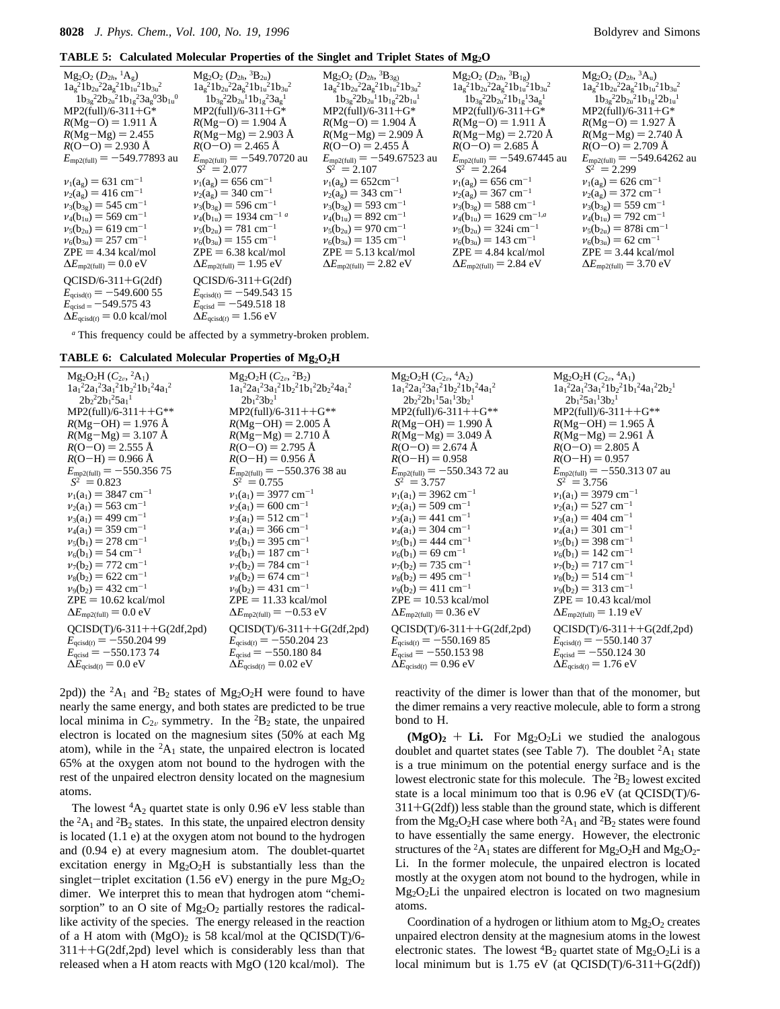| $Mg_2O_2(D_{2h}, {}^{1}A_g)$<br>$1a_8^21b_{2u}^22a_8^21b_{1u}^21b_{3u}^2$<br>$1b_{3g}^{2}2b_{2u}^{2}1b_{1g}^{2}3a_{g}^{0}3b_{1u}^{0}$<br>$MP2$ (full)/6-311+G*<br>$R(Mg-O) = 1.911 \text{ Å}$<br>$R(Mg-Mg) = 2.455$<br>$R(O-O) = 2.930$ Å<br>$E_{\text{mp2(full)}} = -549.77893$ au                               | $Mg_2O_2 (D_{2h}, {}^3B_{2u})$<br>$1a_g^2 1b_{2u}^2 2a_g^2 1b_{1u}^2 1b_{3u}^2$<br>$1b_{3g}^{2}2b_{2u}^{1}1b_{1g}^{2}3a_{g}^{1}$<br>$MP2$ (full)/6-311+G*<br>$R(Mg-O) = 1.904$ Å<br>$R(Mg-Mg) = 2.903 \text{ Å}$<br>$R(O-O) = 2.465$ Å<br>$E_{\text{mp2(full)}} = -549.70720 \text{ au}$                                                               | $Mg_2O_2 (D_{2h}, {}^3B_{3g})$<br>$1a_8^21b_{2u}^22a_8^21b_{1u}^21b_{3u}^2$<br>$1b_{3g}^{2}2b_{2u}^{1}1b_{1g}^{2}2b_{1u}^{1}$<br>$MP2$ (full)/6-311+G*<br>$R(Mg-O) = 1.904$ Å<br>$R(Mg-Mg) = 2.909 \text{ Å}$<br>$R(O-O) = 2.455$ Å<br>$E_{\text{mp2(full)}} = -549.67523$ au                                                                     | $Mg_2O_2(D_{2h}, {}^3B_{1g})$<br>$1a_8^21b_{2u}^22a_8^21b_{1u}^21b_{3u}^2$<br>$1b_{3g}^{2}2b_{2u}^{2}1b_{1g}^{1}3a_{g}^{1}$<br>$MP2$ (full)/6-311+G*<br>$R(Mg-O) = 1.911 \text{ Å}$<br>$R(Mg-Mg) = 2.720 \text{ Å}$<br>$R(O-O) = 2.685$ Å<br>$E_{\text{mp2(full)}} = -549.67445 \text{ au}$                                                             | $Mg_2O_2(D_{2h}, {}^3A_u)$<br>$1a_8^21b_{2u}^22a_8^21b_{1u}^21b_{3u}^2$<br>$1b_{3g}^{2}2b_{2u}^{2}1b_{1g}^{1}2b_{1u}^{1}$<br>$MP2$ (full)/6-311+G*<br>$R(Mg-O) = 1.927 \text{ Å}$<br>$R(Mg-Mg) = 2.740 \text{ Å}$<br>$R(O-O) = 2.709 \text{ Å}$<br>$E_{\text{mp2(full)}} = -549.64262$ au                                                           |
|-------------------------------------------------------------------------------------------------------------------------------------------------------------------------------------------------------------------------------------------------------------------------------------------------------------------|--------------------------------------------------------------------------------------------------------------------------------------------------------------------------------------------------------------------------------------------------------------------------------------------------------------------------------------------------------|---------------------------------------------------------------------------------------------------------------------------------------------------------------------------------------------------------------------------------------------------------------------------------------------------------------------------------------------------|---------------------------------------------------------------------------------------------------------------------------------------------------------------------------------------------------------------------------------------------------------------------------------------------------------------------------------------------------------|-----------------------------------------------------------------------------------------------------------------------------------------------------------------------------------------------------------------------------------------------------------------------------------------------------------------------------------------------------|
| $v_1(a_g) = 631$ cm <sup>-1</sup><br>$v_2(a_g) = 416$ cm <sup>-1</sup><br>$v_3(b_{3g}) = 545$ cm <sup>-1</sup><br>$v_4(b_{1u}) = 569$ cm <sup>-1</sup><br>$v_5(b_{2u}) = 619$ cm <sup>-1</sup><br>$v_6(b_{3u}) = 257$ cm <sup>-1</sup><br>$ZPE = 4.34$ kcal/mol<br>$\Delta E_{\text{mp2(full)}} = 0.0 \text{ eV}$ | $\langle S^2 \rangle = 2.077$<br>$v_1(a_g) = 656$ cm <sup>-1</sup><br>$v_2(a_g) = 340$ cm <sup>-1</sup><br>$v_3(b_{3g}) = 596$ cm <sup>-1</sup><br>$v_4(b_{1u}) = 1934$ cm <sup>-1 a</sup><br>$v_5(b_{2u}) = 781$ cm <sup>-1</sup><br>$v_6(b_{3u}) = 155$ cm <sup>-1</sup><br>$ZPE = 6.38$ kcal/mol<br>$\Delta E_{\text{mp2(full)}} = 1.95 \text{ eV}$ | $\langle S^2 \rangle = 2.107$<br>$v_1(a_g) = 652 \text{cm}^{-1}$<br>$v_2(a_g) = 343$ cm <sup>-1</sup><br>$v_3(b_{3g}) = 593$ cm <sup>-1</sup><br>$v_4(b_{1u}) = 892$ cm <sup>-1</sup><br>$v_5(b_{2u}) = 970$ cm <sup>-1</sup><br>$v_6(b_{3u}) = 135$ cm <sup>-1</sup><br>$ZPE = 5.13$ kcal/mol<br>$\Delta E_{\text{mp2(full)}} = 2.82 \text{ eV}$ | $\langle S^2 \rangle = 2.264$<br>$v_1(a_g) = 656$ cm <sup>-1</sup><br>$v_2(a_g) = 367$ cm <sup>-1</sup><br>$v_3(b_{3g}) = 588$ cm <sup>-1</sup><br>$v_4(b_{1u}) = 1629$ cm <sup>-1,a</sup><br>$v_5(b_{2u}) = 324i$ cm <sup>-1</sup><br>$v_6(b_{3u}) = 143$ cm <sup>-1</sup><br>$ZPE = 4.84$ kcal/mol<br>$\Delta E_{\text{mp2(full)}} = 2.84 \text{ eV}$ | $\langle S^2 \rangle = 2.299$<br>$v_1(a_g) = 626$ cm <sup>-1</sup><br>$v_2(a_g) = 372$ cm <sup>-1</sup><br>$v_3(b_{3g}) = 559$ cm <sup>-1</sup><br>$v_4(b_{1u}) = 792$ cm <sup>-1</sup><br>$v_5(b_{2u}) = 878i$ cm <sup>-1</sup><br>$v_6(b_{3u}) = 62$ cm <sup>-1</sup><br>$ZPE = 3.44$ kcal/mol<br>$\Delta E_{\text{mp2(full)}} = 3.70 \text{ eV}$ |
| $QCISD/6-311+G(2df)$<br>$E_{\text{qcisd(t)}} = -549.60055$<br>$E_{\text{qcisd}} = -549.57543$<br>$\Delta F_{\text{mink}} = 0.0 \text{ kcal/mol}$                                                                                                                                                                  | $QCISD/6-311+G(2df)$<br>$E_{\text{qcisd(t)}} = -549.54315$<br>$E_{\text{qcisd}} = -549.51818$<br>$\Delta E_{\text{max}} = 1.56 \text{ eV}$                                                                                                                                                                                                             |                                                                                                                                                                                                                                                                                                                                                   |                                                                                                                                                                                                                                                                                                                                                         |                                                                                                                                                                                                                                                                                                                                                     |

*<sup>a</sup>* This frequency could be affected by a symmetry-broken problem.

|  | <b>TABLE 6: Calculated Molecular Properties of <math>Mg_2O_2H</math></b> |  |  |  |  |  |
|--|--------------------------------------------------------------------------|--|--|--|--|--|
|--|--------------------------------------------------------------------------|--|--|--|--|--|

 $\Delta E_{\text{qcisd}(t)} = 0.0 \text{ kcal/mol}$   $\Delta E_{\text{qcisd}(t)} = 1.56 \text{ eV}$ 

| $Mg_2O_2H (C_{2\nu}, {}^2A_1)$<br>$1a_1^22a_1^23a_1^21b_2^21b_1^24a_1^2$<br>$2b2^{2}2b1^{2}5a1^{1}$                                                    | $Mg_2O_2H (C_{2\nu}, {}^2B_2)$<br>$1a_1^22a_1^23a_1^21b_2^21b_1^22b_2^24a_1^2$<br>$2b_1^23b_2^1$                                                | $Mg_2O_2H (C_{2\nu}, {}^4A_2)$<br>$1a_1^22a_1^23a_1^21b_2^21b_1^24a_1^2$<br>$2b_2^22b_1^15a_1^13b_2^1$                                          | $Mg_2O_2H (C_{2\nu}, {}^4A_1)$<br>$1a_1^22a_1^23a_1^21b_2^21b_1^24a_1^22b_2^1$<br>$2b_1^25a_1^13b_2^1$                                                 |
|--------------------------------------------------------------------------------------------------------------------------------------------------------|-------------------------------------------------------------------------------------------------------------------------------------------------|-------------------------------------------------------------------------------------------------------------------------------------------------|--------------------------------------------------------------------------------------------------------------------------------------------------------|
| $MP2$ (full)/6-311++G**                                                                                                                                | $MP2$ (full)/6-311++G**<br>$R(Mg-OH) = 2.005 \text{ Å}$                                                                                         | $MP2$ (full)/6-311++G**                                                                                                                         | $MP2$ (full)/6-311++G**<br>$R(Mg-OH) = 1.965 \text{ Å}$                                                                                                |
| $R(Mg-OH) = 1.976 \text{ Å}$<br>$R(Mg-Mg) = 3.107 \text{ Å}$                                                                                           | $R(Mg-Mg) = 2.710 \text{ Å}$                                                                                                                    | $R(Mg-OH) = 1.990 \text{ Å}$<br>$R(Mg-Mg) = 3.049 \text{ Å}$                                                                                    | $R(Mg-Mg) = 2.961 \text{ Å}$                                                                                                                           |
| $R(O-O) = 2.555$ Å                                                                                                                                     | $R(O-O) = 2.795 \text{ Å}$                                                                                                                      | $R(O-O) = 2.674 \text{ Å}$                                                                                                                      | $R(O-O) = 2.805$ Å                                                                                                                                     |
| $R(O-H) = 0.966$ Å                                                                                                                                     | $R(O-H) = 0.956 \text{ Å}$                                                                                                                      | $R(O-H) = 0.958$                                                                                                                                | $R(O-H) = 0.957$                                                                                                                                       |
| $E_{\text{mp2(full)}} = -550.35675$<br>$\langle S^2 \rangle = 0.823$                                                                                   | $E_{\text{mp2(full)}} = -550.37638$ au<br>$\langle S^2 \rangle = 0.755$                                                                         | $E_{\text{mp2(full)}} = -550.343\,72$ au<br>$\langle S^2 \rangle = 3.757$                                                                       | $E_{\text{mp2(full)}} = -550.313\,07$ au<br>$\langle S^2 \rangle = 3.756$                                                                              |
| $v_1(a_1) = 3847$ cm <sup>-1</sup>                                                                                                                     | $v_1(a_1) = 3977$ cm <sup>-1</sup>                                                                                                              | $v_1(a_1) = 3962$ cm <sup>-1</sup>                                                                                                              | $v_1(a_1) = 3979$ cm <sup>-1</sup>                                                                                                                     |
| $v_2(a_1) = 563$ cm <sup>-1</sup>                                                                                                                      | $v_2(a_1) = 600$ cm <sup>-1</sup>                                                                                                               | $v_2(a_1) = 509$ cm <sup>-1</sup>                                                                                                               | $v_2(a_1) = 527$ cm <sup>-1</sup>                                                                                                                      |
| $v_3(a_1) = 499$ cm <sup>-1</sup>                                                                                                                      | $v_3(a_1) = 512$ cm <sup>-1</sup>                                                                                                               | $v_3(a_1) = 441$ cm <sup>-1</sup>                                                                                                               | $v_3(a_1) = 404$ cm <sup>-1</sup>                                                                                                                      |
| $v_4(a_1) = 359$ cm <sup>-1</sup>                                                                                                                      | $v_4(a_1) = 366$ cm <sup>-1</sup>                                                                                                               | $v_4(a_1) = 304$ cm <sup>-1</sup>                                                                                                               | $v_4(a_1) = 301$ cm <sup>-1</sup>                                                                                                                      |
| $v_5(b_1) = 278$ cm <sup>-1</sup>                                                                                                                      | $v_5(b_1) = 395$ cm <sup>-1</sup>                                                                                                               | $v_5(b_1) = 444$ cm <sup>-1</sup>                                                                                                               | $v_5(b_1) = 398$ cm <sup>-1</sup>                                                                                                                      |
| $v_6(b_1) = 54$ cm <sup>-1</sup>                                                                                                                       | $v_6(b_1) = 187$ cm <sup>-1</sup>                                                                                                               | $v_6(b_1) = 69$ cm <sup>-1</sup>                                                                                                                | $v_6(b_1) = 142$ cm <sup>-1</sup>                                                                                                                      |
| $v_7(b_2) = 772$ cm <sup>-1</sup>                                                                                                                      | $v_7(b_2) = 784$ cm <sup>-1</sup>                                                                                                               | $v_7(b_2) = 735$ cm <sup>-1</sup>                                                                                                               | $v_7(b_2) = 717$ cm <sup>-1</sup>                                                                                                                      |
| $v_8(b_2) = 622$ cm <sup>-1</sup>                                                                                                                      | $v_8(b_2) = 674$ cm <sup>-1</sup>                                                                                                               | $v_8(b_2) = 495$ cm <sup>-1</sup>                                                                                                               | $v_8(b_2) = 514$ cm <sup>-1</sup>                                                                                                                      |
| $v_9(b_2) = 432$ cm <sup>-1</sup>                                                                                                                      | $v_9(b_2) = 431$ cm <sup>-1</sup>                                                                                                               | $v_9(b_2) = 411$ cm <sup>-1</sup>                                                                                                               | $v_9(b_2) = 313$ cm <sup>-1</sup>                                                                                                                      |
| $ZPE = 10.62$ kcal/mol                                                                                                                                 | $ZPE = 11.33$ kcal/mol                                                                                                                          | $ZPE = 10.53$ kcal/mol                                                                                                                          | $ZPE = 10.43$ kcal/mol                                                                                                                                 |
| $\Delta E_{\text{mp2(full)}} = 0.0 \text{ eV}$                                                                                                         | $\Delta E_{\text{mp2(full)}} = -0.53 \text{ eV}$                                                                                                | $\Delta E_{\text{mp2(full)}} = 0.36 \text{ eV}$                                                                                                 | $\Delta E_{\text{mp2(full)}} = 1.19 \text{ eV}$                                                                                                        |
| $QCISD(T)/6-311++G(2df,2pd)$<br>$E_{\text{qcisd}(t)} = -550.20499$<br>$E_{\text{qcisd}} = -550.17374$<br>$\Delta E_{\text{qcisd}(t)} = 0.0 \text{ eV}$ | $QCISD(T)/6-311++G(2df,2pd)$<br>$E_{\text{qcisd}(t)} = -550.20423$<br>$E_{\text{qcisd}} = -550.18084$<br>$\Delta E_{\text{acisd}(t)} = 0.02$ eV | $QCISD(T)/6-311++G(2df,2pd)$<br>$E_{\text{qcisd}(t)} = -550.16985$<br>$E_{\text{qcisd}} = -550.15398$<br>$\Delta E_{\text{acisd}(t)} = 0.96$ eV | $QCISD(T)/6-311++G(2df,2pd)$<br>$E_{\text{acisdf}t} = -550.14037$<br>$E_{\text{qcisd}} = -550.12430$<br>$\Delta E_{\text{qcisd}(t)} = 1.76 \text{ eV}$ |
|                                                                                                                                                        |                                                                                                                                                 |                                                                                                                                                 |                                                                                                                                                        |

2pd)) the  ${}^{2}A_1$  and  ${}^{2}B_2$  states of Mg<sub>2</sub>O<sub>2</sub>H were found to have nearly the same energy, and both states are predicted to be true local minima in  $C_{2v}$  symmetry. In the <sup>2</sup>B<sub>2</sub> state, the unpaired electron is located on the magnesium sites (50% at each Mg atom), while in the  ${}^{2}A_1$  state, the unpaired electron is located 65% at the oxygen atom not bound to the hydrogen with the rest of the unpaired electron density located on the magnesium atoms.

The lowest  ${}^4A_2$  quartet state is only 0.96 eV less stable than the  ${}^2A_1$  and  ${}^2B_2$  states. In this state, the unpaired electron density is located (1.1 e) at the oxygen atom not bound to the hydrogen and (0.94 e) at every magnesium atom. The doublet-quartet excitation energy in  $Mg_2O_2H$  is substantially less than the singlet-triplet excitation (1.56 eV) energy in the pure  $Mg_2O_2$ dimer. We interpret this to mean that hydrogen atom "chemisorption" to an O site of  $Mg_2O_2$  partially restores the radicallike activity of the species. The energy released in the reaction of a H atom with  $(MgO)_2$  is 58 kcal/mol at the QCISD(T)/6- $311++G(2df,2pd)$  level which is considerably less than that released when a H atom reacts with MgO (120 kcal/mol). The reactivity of the dimer is lower than that of the monomer, but the dimer remains a very reactive molecule, able to form a strong bond to H.

 $(MgO)_2$  + **Li.** For  $Mg_2O_2Li$  we studied the analogous doublet and quartet states (see Table 7). The doublet  ${}^{2}A_1$  state is a true minimum on the potential energy surface and is the lowest electronic state for this molecule. The  ${}^{2}B_{2}$  lowest excited state is a local minimum too that is 0.96 eV (at QCISD(T)/6-  $311+G(2df)$ ) less stable than the ground state, which is different from the Mg<sub>2</sub>O<sub>2</sub>H case where both  ${}^2A_1$  and  ${}^2B_2$  states were found to have essentially the same energy. However, the electronic structures of the <sup>2</sup>A<sub>1</sub> states are different for  $Mg_2O_2H$  and  $Mg_2O_2$ -Li. In the former molecule, the unpaired electron is located mostly at the oxygen atom not bound to the hydrogen, while in Mg2O2Li the unpaired electron is located on two magnesium atoms.

Coordination of a hydrogen or lithium atom to  $Mg_2O_2$  creates unpaired electron density at the magnesium atoms in the lowest electronic states. The lowest  ${}^{4}B_2$  quartet state of Mg<sub>2</sub>O<sub>2</sub>Li is a local minimum but is  $1.75$  eV (at QCISD(T)/6-311+G(2df))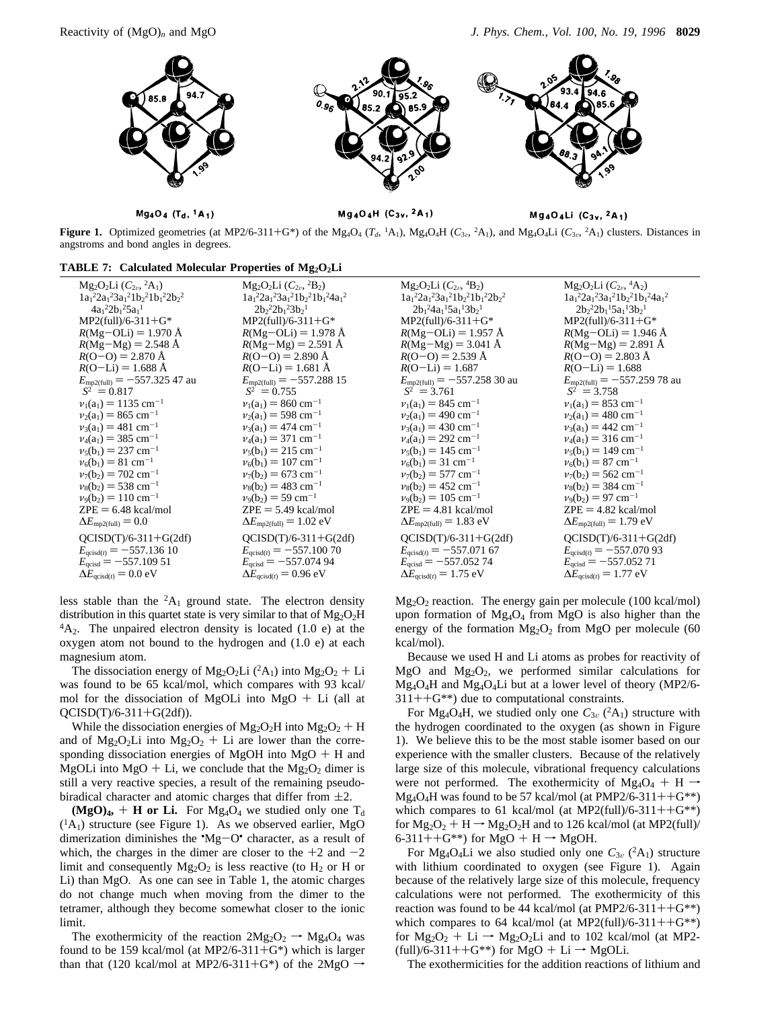

 $Mg_4O_4$  (T<sub>d</sub>, <sup>1</sup>A<sub>1</sub>)

 $Mg_4O_4H$  (C<sub>3v</sub>, <sup>2</sup>A<sub>1</sub>)

 $Mg_4O_4Li$  (C<sub>3v</sub>, <sup>2</sup>A<sub>1</sub>)

**Figure 1.** Optimized geometries (at MP2/6-311+G\*) of the Mg<sub>4</sub>O<sub>4</sub> ( $T_d$ , <sup>1</sup>A<sub>1</sub>), Mg<sub>4</sub>O<sub>4</sub>H ( $C_{3v}$ , <sup>2</sup>A<sub>1</sub>), and Mg<sub>4</sub>O<sub>4</sub>Li ( $C_{3v}$ , <sup>2</sup>A<sub>1</sub>) clusters. Distances in a postroms and bond angles in degrees angstroms and bond angles in degrees.

### TABLE 7: Calculated Molecular Properties of Mg<sub>2</sub>O<sub>2</sub>Li

| $Mg_2O_2Li (C_{2v}, {}^2A_1)$                 | $Mg_2O_2Li (C_{2v}, {}^2B_2)$                   | $Mg_2O_2Li (C_{2\nu}, {}^4B_2)$                 | $Mg_2O_2Li (C_{2\nu}, {}^4A_2)$                 |
|-----------------------------------------------|-------------------------------------------------|-------------------------------------------------|-------------------------------------------------|
| $1a_1^22a_1^23a_1^21b_2^21b_1^22b_2^2$        | $1a_1^22a_1^23a_1^21b_2^21b_1^24a_1^2$          | $1a_1^22a_1^23a_1^21b_2^21b_1^22b_2^2$          | $1a_1^22a_1^23a_1^21b_2^21b_1^24a_1^2$          |
| $4a_1^22b_1^25a_1^1$                          | $2b_2^22b_1^23b_2^1$                            | $2b_1{}^24a_1{}^15a_1{}^13b_2{}^1$              | $2b_2^22b_1^15a_1^13b_2^1$                      |
| $MP2$ (full)/6-311+G*                         | $MP2$ (full)/6-311+G*                           | $MP2$ (full)/6-311+G*                           | $MP2$ (full)/6-311+G*                           |
| $R(Mg-OLi) = 1.970 \text{ Å}$                 | $R(Mg-OLi) = 1.978 \text{ Å}$                   | $R(Mg-OLi) = 1.957 \text{ Å}$                   | $R(Mg-OLi) = 1.946 \text{ Å}$                   |
| $R(Mg-Mg) = 2.548 \text{ Å}$                  | $R(Mg-Mg) = 2.591 \text{ Å}$                    | $R(Mg-Mg) = 3.041 \text{ Å}$                    | $R(Mg-Mg) = 2.891 \text{ Å}$                    |
| $R(O-O) = 2.870 \text{ Å}$                    | $R(O-O) = 2.890 \text{ Å}$                      | $R(O-O) = 2.539 \text{ Å}$                      | $R(O-O) = 2.803 \text{ Å}$                      |
| $R(O-Li) = 1.688 \text{ Å}$                   | $R(O-Li) = 1.681 \text{ Å}$                     | $R(O-Li) = 1.687$                               | $R(O-Li) = 1.688$                               |
| $E_{\text{mp2(full)}} = -557.32547$ au        | $E_{\text{mp2(full)}} = -557.28815$             | $E_{\text{mp2(full)}} = -557.25830 \text{ au}$  | $E_{\text{mp2(full)}} = -557.25978$ au          |
| $\langle S^2 \rangle = 0.817$                 | $\langle S^2 \rangle = 0.755$                   | $\langle S^2 \rangle = 3.761$                   | $\langle S^2 \rangle = 3.758$                   |
| $v_1(a_1) = 1135$ cm <sup>-1</sup>            | $v_1(a_1) = 860$ cm <sup>-1</sup>               | $v_1(a_1) = 845$ cm <sup>-1</sup>               | $v_1(a_1) = 853$ cm <sup>-1</sup>               |
| $v_2(a_1) = 865$ cm <sup>-1</sup>             | $v_2(a_1) = 598$ cm <sup>-1</sup>               | $v_2(a_1) = 490$ cm <sup>-1</sup>               | $v_2(a_1) = 480$ cm <sup>-1</sup>               |
| $v_3(a_1) = 481$ cm <sup>-1</sup>             | $v_3(a_1) = 474$ cm <sup>-1</sup>               | $v_3(a_1) = 430$ cm <sup>-1</sup>               | $v_3(a_1) = 442$ cm <sup>-1</sup>               |
| $v_4(a_1) = 385$ cm <sup>-1</sup>             | $v_4(a_1) = 371$ cm <sup>-1</sup>               | $v_4(a_1) = 292$ cm <sup>-1</sup>               | $v_4(a_1) = 316$ cm <sup>-1</sup>               |
| $v_5(b_1) = 237$ cm <sup>-1</sup>             | $v_5(b_1) = 215$ cm <sup>-1</sup>               | $v_5(b_1) = 145$ cm <sup>-1</sup>               | $v_5(b_1) = 149$ cm <sup>-1</sup>               |
| $v_6(b_1) = 81$ cm <sup>-1</sup>              | $v_6(b_1) = 107$ cm <sup>-1</sup>               | $v_6(b_1) = 31$ cm <sup>-1</sup>                | $v_6(b_1) = 87$ cm <sup>-1</sup>                |
| $v_7(b_2) = 702$ cm <sup>-1</sup>             | $v_7(b_2) = 673$ cm <sup>-1</sup>               | $v_7(b_2) = 577$ cm <sup>-1</sup>               | $v_7(b_2) = 562$ cm <sup>-1</sup>               |
| $v_8(b_2) = 538$ cm <sup>-1</sup>             | $v_8(b_2) = 483$ cm <sup>-1</sup>               | $v_8(b_2) = 452$ cm <sup>-1</sup>               | $v_8(b_2) = 384$ cm <sup>-1</sup>               |
| $v_9(b_2) = 110$ cm <sup>-1</sup>             | $v_9(b_2) = 59$ cm <sup>-1</sup>                | $v_9(b_2) = 105$ cm <sup>-1</sup>               | $v_9(b_2) = 97$ cm <sup>-1</sup>                |
| $ZPE = 6.48$ kcal/mol                         | $ZPE = 5.49$ kcal/mol                           | $ZPE = 4.81$ kcal/mol                           | $ZPE = 4.82$ kcal/mol                           |
| $\Delta E_{\text{mp2(full)}} = 0.0$           | $\Delta E_{\text{mp2(full)}} = 1.02 \text{ eV}$ | $\Delta E_{\text{mp2(full)}} = 1.83 \text{ eV}$ | $\Delta E_{\text{mp2(full)}} = 1.79 \text{ eV}$ |
| $QCISD(T)/6-311+G(2df)$                       | $QCISD(T)/6-311+G(2df)$                         | $QCISD(T)/6-311+G(2df)$                         | $QCISD(T)/6-311+G(2df)$                         |
| $E_{\text{qcisd}(t)} = -557.13610$            | $E_{\text{qcisd}(t)} = -557.100\ 70$            | $E_{\text{qcisd}(t)} = -557.07167$              | $E_{\text{qcisd}(t)} = -557.07093$              |
| $E_{\text{qcisd}} = -557.10951$               | $E_{\text{qcisd}} = -557.07494$                 | $E_{\text{qcisd}} = -557.05274$                 | $E_{\text{qcisd}} = -557.052\,71$               |
| $\Delta E_{\text{qcisd}(t)} = 0.0 \text{ eV}$ | $\Delta E_{\text{acisd}(t)} = 0.96 \text{ eV}$  | $\Delta E_{\text{qcisd}(t)} = 1.75 \text{ eV}$  | $\Delta E_{\text{qcisd}(t)} = 1.77 \text{ eV}$  |
|                                               |                                                 |                                                 |                                                 |

less stable than the  ${}^{2}A_1$  ground state. The electron density distribution in this quartet state is very similar to that of  $Mg_2O_2H$  ${}^{4}A_2$ . The unpaired electron density is located (1.0 e) at the oxygen atom not bound to the hydrogen and (1.0 e) at each magnesium atom.

The dissociation energy of Mg<sub>2</sub>O<sub>2</sub>Li (<sup>2</sup>A<sub>1</sub>) into Mg<sub>2</sub>O<sub>2</sub> + Li was found to be 65 kcal/mol, which compares with 93 kcal/ mol for the dissociation of MgOLi into  $MgO + Li$  (all at  $QCISD(T)/6-311+G(2df)$ .

While the dissociation energies of  $Mg_2O_2H$  into  $Mg_2O_2 + H$ and of  $Mg_2O_2Li$  into  $Mg_2O_2 + Li$  are lower than the corresponding dissociation energies of MgOH into  $MgO + H$  and MgOLi into MgO + Li, we conclude that the  $Mg_2O_2$  dimer is still a very reactive species, a result of the remaining pseudobiradical character and atomic charges that differ from  $\pm 2$ .

 $(MgO)_4$ , + **H** or Li. For  $Mg_4O_4$  we studied only one T<sub>d</sub>  $({}^{1}A_{1})$  structure (see Figure 1). As we observed earlier, MgO dimerization diminishes the  $^{\circ}Mg-O^{\circ}$  character, as a result of which the character in the dimer are closer to the  $+2$  and  $-2$ which, the charges in the dimer are closer to the  $+2$  and  $-2$ limit and consequently  $Mg_2O_2$  is less reactive (to  $H_2$  or H or Li) than MgO. As one can see in Table 1, the atomic charges do not change much when moving from the dimer to the tetramer, although they become somewhat closer to the ionic limit.

The exothermicity of the reaction  $2Mg_2O_2 \rightarrow Mg_4O_4$  was found to be 159 kcal/mol (at MP2/6-311+G\*) which is larger than that (120 kcal/mol at MP2/6-311+G\*) of the 2MgO  $\rightarrow$ 

Mg2O2 reaction. The energy gain per molecule (100 kcal/mol) upon formation of  $Mg_4O_4$  from MgO is also higher than the energy of the formation  $Mg_2O_2$  from MgO per molecule (60 kcal/mol).

Because we used H and Li atoms as probes for reactivity of MgO and  $Mg_2O_2$ , we performed similar calculations for Mg4O4H and Mg4O4Li but at a lower level of theory (MP2/6-  $311++G^{**}$ ) due to computational constraints.

For Mg<sub>4</sub>O<sub>4</sub>H, we studied only one  $C_{3v}$  (<sup>2</sup>A<sub>1</sub>) structure with the hydrogen coordinated to the oxygen (as shown in Figure 1). We believe this to be the most stable isomer based on our experience with the smaller clusters. Because of the relatively large size of this molecule, vibrational frequency calculations were not performed. The exothermicity of  $Mg_4O_4 + H \rightarrow$  $Mg_4O_4H$  was found to be 57 kcal/mol (at PMP2/6-311++ $G^{**}$ ) which compares to 61 kcal/mol (at MP2(full)/6-311++ $G^{**}$ ) for  $Mg_2O_2 + H \rightarrow Mg_2O_2H$  and to 126 kcal/mol (at MP2(full)/ 6-311++ $G^{**}$ ) for MgO + H  $\rightarrow$  MgOH.

For Mg<sub>4</sub>O<sub>4</sub>Li we also studied only one  $C_{3v}$  (<sup>2</sup>A<sub>1</sub>) structure with lithium coordinated to oxygen (see Figure 1). Again because of the relatively large size of this molecule, frequency calculations were not performed. The exothermicity of this reaction was found to be 44 kcal/mol (at PMP2/6-311++ $G^{**}$ ) which compares to 64 kcal/mol (at MP2(full)/6-311++G\*\*) for  $Mg_2O_2 + Li \rightarrow Mg_2O_2Li$  and to 102 kcal/mol (at MP2- $(full)/6-311++G^{**}$  for MgO + Li  $\rightarrow$  MgOLi.

The exothermicities for the addition reactions of lithium and